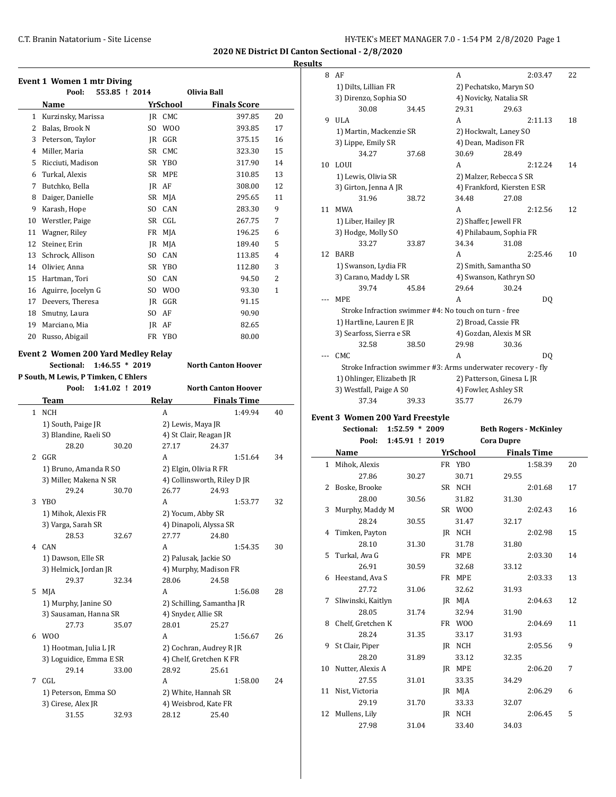#### **Results**

|              | <b>Event 1 Women 1 mtr Diving</b><br>Pool:<br>553.85 ! 2014                                       |     |                     | Olivia Ball                                              |                |
|--------------|---------------------------------------------------------------------------------------------------|-----|---------------------|----------------------------------------------------------|----------------|
|              | Name                                                                                              |     | YrSchool            | <b>Finals Score</b>                                      |                |
| $\mathbf{1}$ | Kurzinsky, Marissa                                                                                |     | JR CMC              | 397.85                                                   | 20             |
| 2            | Balas, Brook N                                                                                    | SO. | W00                 | 393.85                                                   | 17             |
| 3            | Peterson, Taylor                                                                                  |     | IR GGR              | 375.15                                                   | 16             |
| 4            | Miller, Maria                                                                                     |     | SR CMC              | 323.30                                                   | 15             |
| 5            | Ricciuti, Madison                                                                                 |     | SR YBO              | 317.90                                                   | 14             |
|              | 6 Turkal, Alexis                                                                                  |     | SR MPE              | 310.85                                                   | 13             |
| 7            | Butchko, Bella                                                                                    |     | JR AF               | 308.00                                                   | 12             |
| 8            | Daiger, Danielle                                                                                  |     | SR MJA              | 295.65                                                   | 11             |
| 9            | Karash, Hope                                                                                      |     | SO CAN              | 283.30                                                   | 9              |
| 10           | Werstler, Paige                                                                                   |     | SR CGL              | 267.75                                                   | 7              |
| 11           | Wagner, Riley                                                                                     |     | FR MJA              | 196.25                                                   | 6              |
| 12           | Steiner, Erin                                                                                     |     | JR MJA              | 189.40                                                   | 5              |
| 13           | Schrock, Allison                                                                                  |     | SO CAN              | 113.85                                                   | $\overline{4}$ |
| 14           | Olivier, Anna                                                                                     |     | SR YBO              | 112.80                                                   | 3              |
| 15           | Hartman, Tori                                                                                     |     | SO CAN              | 94.50                                                    | 2              |
|              | 16 Aguirre, Jocelyn G                                                                             |     | SO WOO              | 93.30                                                    | 1              |
|              | 17 Deevers, Theresa                                                                               |     | JR GGR              | 91.15                                                    |                |
|              | 18 Smutny, Laura                                                                                  |     | SO AF               | 90.90                                                    |                |
|              | 19 Marciano, Mia                                                                                  |     | JR AF               | 82.65                                                    |                |
|              | 20 Russo, Abigail                                                                                 |     | FR YBO              | 80.00                                                    |                |
|              | Sectional:<br>$1:46.55 * 2019$<br>P South, M Lewis, P Timken, C Ehlers<br>Pool:<br>1:41.02 ! 2019 |     |                     | <b>North Canton Hoover</b><br><b>North Canton Hoover</b> |                |
|              | Team                                                                                              |     | Relay               | <b>Finals Time</b>                                       |                |
| $\mathbf{1}$ | NCH                                                                                               |     | A                   | 1:49.94                                                  | 40             |
|              | 1) South, Paige JR                                                                                |     | 2) Lewis, Maya JR   |                                                          |                |
|              | 3) Blandine, Raeli SO                                                                             |     |                     | 4) St Clair, Reagan JR                                   |                |
|              | 28.20<br>30.20                                                                                    |     | 27.17               | 24.37                                                    |                |
|              | 2 GGR                                                                                             |     | A                   | 1:51.64                                                  | 34             |
|              | 1) Bruno, Amanda R SO                                                                             |     |                     | 2) Elgin, Olivia R FR                                    |                |
|              | 3) Miller, Makena N SR                                                                            |     |                     | 4) Collinsworth, Riley D JR                              |                |
|              | 29.24<br>30.70                                                                                    |     | 26.77               | 24.93                                                    |                |
| 3            | YBO                                                                                               |     | A                   | 1:53.77                                                  | 32             |
|              | 1) Mihok, Alexis FR                                                                               |     | 2) Yocum, Abby SR   |                                                          |                |
|              | 3) Varga, Sarah SR                                                                                |     |                     | 4) Dinapoli, Alyssa SR                                   |                |
|              | 28.53<br>32.67                                                                                    |     | 27.77               | 24.80                                                    |                |
|              | 4 CAN                                                                                             |     | A                   | 1:54.35                                                  | 30             |
|              | 1) Dawson, Elle SR                                                                                |     |                     | 2) Palusak, Jackie SO                                    |                |
|              | 3) Helmick, Jordan JR                                                                             |     |                     | 4) Murphy, Madison FR                                    |                |
|              | 29.37<br>32.34                                                                                    |     | 28.06               | 24.58                                                    |                |
| 5            | MJA                                                                                               |     | A                   | 1:56.08                                                  | 28             |
|              | 1) Murphy, Janine SO                                                                              |     |                     | 2) Schilling, Samantha JR                                |                |
|              | 3) Sausaman, Hanna SR                                                                             |     | 4) Snyder, Allie SR |                                                          |                |
|              | 27.73<br>35.07<br>6 W00                                                                           |     | 28.01               | 25.27                                                    |                |
|              |                                                                                                   |     | А                   | 1:56.67                                                  | 26             |
|              | 1) Hootman, Julia L JR<br>3) Loguidice, Emma E SR                                                 |     |                     | 2) Cochran, Audrey R JR<br>4) Chelf, Gretchen K FR       |                |
|              | 29.14<br>33.00                                                                                    |     | 28.92               | 25.61                                                    |                |
|              |                                                                                                   |     |                     |                                                          |                |
|              |                                                                                                   |     |                     |                                                          |                |
| 7            | CGL                                                                                               |     | A                   | 1:58.00                                                  | 24             |
|              | 1) Peterson, Emma SO                                                                              |     |                     | 2) White, Hannah SR                                      |                |
|              | 3) Cirese, Alex JR<br>31.55<br>32.93                                                              |     | 28.12               | 4) Weisbrod, Kate FR<br>25.40                            |                |

| 8  | AF                                                           |                  |    | A        |                               | 2:03.47            | 22 |
|----|--------------------------------------------------------------|------------------|----|----------|-------------------------------|--------------------|----|
|    | 1) Dilts, Lillian FR                                         |                  |    |          | 2) Pechatsko, Maryn SO        |                    |    |
|    | 3) Direnzo, Sophia SO                                        |                  |    |          | 4) Novicky, Natalia SR        |                    |    |
|    | 30.08                                                        | 34.45            |    | 29.31    | 29.63                         |                    |    |
| 9  | ULA                                                          |                  |    | A        |                               | 2:11.13            | 18 |
|    | 1) Martin, Mackenzie SR                                      |                  |    |          | 2) Hockwalt, Laney SO         |                    |    |
|    | 3) Lippe, Emily SR                                           |                  |    |          | 4) Dean, Madison FR           |                    |    |
|    | 34.27                                                        | 37.68            |    | 30.69    | 28.49                         |                    |    |
| 10 | LOUI                                                         |                  |    | A        |                               | 2:12.24            | 14 |
|    | 1) Lewis, Olivia SR                                          |                  |    |          | 2) Malzer, Rebecca S SR       |                    |    |
|    | 3) Girton, Jenna A JR                                        |                  |    |          | 4) Frankford, Kiersten E SR   |                    |    |
|    | 31.96                                                        | 38.72            |    | 34.48    | 27.08                         |                    |    |
| 11 | <b>MWA</b>                                                   |                  |    | A        |                               | 2:12.56            | 12 |
|    | 1) Liber, Hailey JR                                          |                  |    |          | 2) Shaffer, Jewell FR         |                    |    |
|    | 3) Hodge, Molly SO                                           |                  |    |          | 4) Philabaum, Sophia FR       |                    |    |
|    | 33.27                                                        | 33.87            |    | 34.34    | 31.08                         |                    |    |
| 12 | <b>BARB</b>                                                  |                  |    | A        |                               | 2:25.46            | 10 |
|    | 1) Swanson, Lydia FR                                         |                  |    |          | 2) Smith, Samantha SO         |                    |    |
|    | 3) Carano, Maddy L SR                                        |                  |    |          | 4) Swanson, Kathryn SO        |                    |    |
|    | 39.74                                                        | 45.84            |    | 29.64    | 30.24                         |                    |    |
|    | MPE                                                          |                  |    | A        |                               | DQ                 |    |
|    | Stroke Infraction swimmer #4: No touch on turn - free        |                  |    |          |                               |                    |    |
|    | 1) Hartline, Lauren E JR                                     |                  |    |          | 2) Broad, Cassie FR           |                    |    |
|    | 3) Searfoss, Sierra e SR                                     |                  |    |          | 4) Gozdan, Alexis M SR        |                    |    |
|    | 32.58                                                        | 38.50            |    | 29.98    | 30.36                         |                    |    |
|    | CMC                                                          |                  |    | A        |                               | DQ                 |    |
|    | Stroke Infraction swimmer #3: Arms underwater recovery - fly |                  |    |          |                               |                    |    |
|    | 1) Ohlinger, Elizabeth JR                                    |                  |    |          | 2) Patterson, Ginesa L JR     |                    |    |
|    | 3) Westfall, Paige A S0                                      |                  |    |          |                               |                    |    |
|    |                                                              |                  |    |          | 4) Fowler, Ashley SR          |                    |    |
|    | 37.34                                                        | 39.33            |    | 35.77    | 26.79                         |                    |    |
|    |                                                              |                  |    |          |                               |                    |    |
|    | Event 3 Women 200 Yard Freestyle<br>Sectional:               | $1:52.59 * 2009$ |    |          | <b>Beth Rogers - McKinley</b> |                    |    |
|    | Pool:                                                        | 1:45.91 ! 2019   |    |          | <b>Cora Dupre</b>             |                    |    |
|    | Name                                                         |                  |    | YrSchool |                               | <b>Finals Time</b> |    |
| 1  | Mihok, Alexis                                                |                  |    | FR YBO   |                               | 1:58.39            | 20 |
|    | 27.86                                                        | 30.27            |    | 30.71    | 29.55                         |                    |    |
| 2  | Boske, Brooke                                                |                  |    | SR NCH   |                               | 2:01.68            | 17 |
|    | 28.00                                                        | 30.56            |    | 31.82    | 31.30                         |                    |    |
| 3  | Murphy, Maddy M                                              |                  | SR | W00      |                               | 2:02.43            | 16 |
|    | 28.24                                                        | 30.55            |    | 31.47    | 32.17                         |                    |    |
| 4  | Timken, Payton                                               |                  |    | JR NCH   |                               | 2:02.98            | 15 |
|    | 28.10                                                        | 31.30            |    | 31.78    | 31.80                         |                    |    |
| 5  | Turkal, Ava G                                                |                  |    | FR MPE   |                               | 2:03.30            | 14 |
|    | 26.91                                                        | 30.59            |    | 32.68    | 33.12                         |                    |    |
| 6  | Heestand, Ava S                                              |                  |    | FR MPE   |                               | 2:03.33            | 13 |
|    | 27.72                                                        | 31.06            |    | 32.62    | 31.93                         |                    |    |
| 7  | Sliwinski, Kaitlyn                                           |                  |    | JR MJA   |                               | 2:04.63            | 12 |
|    | 28.05                                                        | 31.74            |    | 32.94    | 31.90                         |                    |    |
| 8  |                                                              |                  |    | FR WOO   |                               | 2:04.69            | 11 |
|    | Chelf, Gretchen K<br>28.24                                   | 31.35            |    | 33.17    | 31.93                         |                    |    |
| 9  | St Clair, Piper                                              |                  |    | JR NCH   |                               | 2:05.56            | 9  |
|    | 28.20                                                        | 31.89            |    | 33.12    | 32.35                         |                    |    |
| 10 | Nutter, Alexis A                                             |                  |    | JR MPE   |                               | 2:06.20            | 7  |
|    | 27.55                                                        | 31.01            |    | 33.35    | 34.29                         |                    |    |

29.19 31.70 33.33 32.07 12 Mullens, Lily JR NCH 2:06.45 5 27.98 31.04 33.40 34.03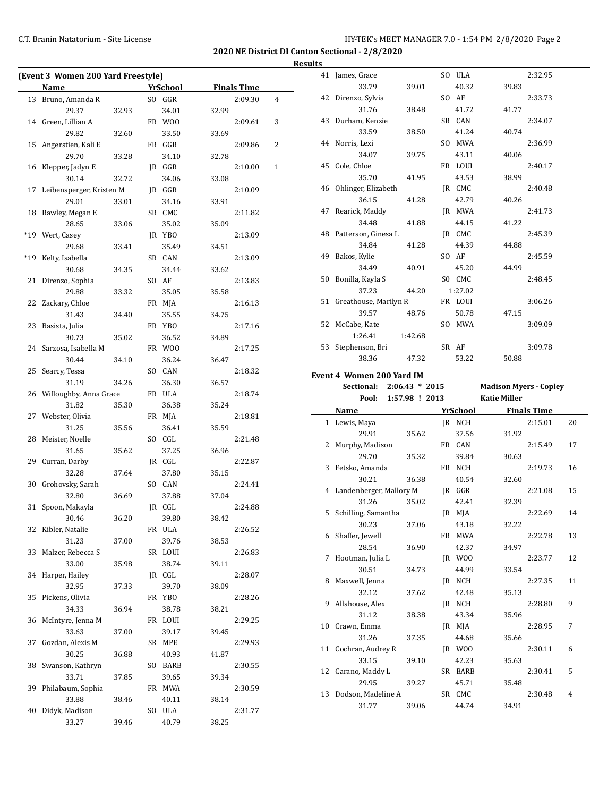# C.T. Branin Natatorium - Site License C.T. Branin Natatorium - Site License

41 James, Grace SO ULA 2:32.95

**2020 NE District DI Canton Sectional - 2/8/2020**

|     | (Event 3 Women 200 Yard Freestyle) |       |                 |       |                    |   |
|-----|------------------------------------|-------|-----------------|-------|--------------------|---|
|     | Name                               |       | YrSchool        |       | <b>Finals Time</b> |   |
| 13  | Bruno, Amanda R                    |       | SO GGR          |       | 2:09.30            | 4 |
|     | 29.37                              | 32.93 | 34.01           | 32.99 |                    |   |
|     | 14 Green, Lillian A                |       | FR WOO          |       | 2:09.61            | 3 |
|     | 29.82                              | 32.60 | 33.50           | 33.69 |                    |   |
| 15  | Angerstien, Kali E                 |       | FR GGR          |       | 2:09.86            | 2 |
|     | 29.70                              | 33.28 | 34.10           | 32.78 |                    |   |
| 16  | Klepper, Jadyn E                   |       | JR GGR          |       | 2:10.00            | 1 |
|     | 30.14                              | 32.72 | 34.06           | 33.08 |                    |   |
| 17  | Leibensperger, Kristen M           |       | JR GGR          |       | 2:10.09            |   |
|     | 29.01                              | 33.01 | 34.16           | 33.91 |                    |   |
| 18  | Rawley, Megan E                    |       | SR CMC          |       | 2:11.82            |   |
|     | 28.65                              | 33.06 | 35.02           | 35.09 |                    |   |
| *19 | Wert, Casey                        |       | JR YBO          |       | 2:13.09            |   |
|     | 29.68                              | 33.41 | 35.49           | 34.51 |                    |   |
| *19 | Kelty, Isabella                    |       | SR CAN          |       | 2:13.09            |   |
|     | 30.68                              | 34.35 | 34.44           | 33.62 |                    |   |
| 21  | Direnzo, Sophia                    |       | SO AF           |       | 2:13.83            |   |
|     | 29.88                              | 33.32 | 35.05           | 35.58 |                    |   |
| 22  | Zackary, Chloe                     |       | FR MJA          |       | 2:16.13            |   |
|     | 31.43                              | 34.40 | 35.55           | 34.75 |                    |   |
| 23  | Basista, Julia                     |       | FR YBO          |       | 2:17.16            |   |
|     | 30.73                              | 35.02 | 36.52           | 34.89 |                    |   |
| 24  | Sarzosa, Isabella M                |       | FR WOO          |       | 2:17.25            |   |
|     | 30.44                              | 34.10 | 36.24           | 36.47 |                    |   |
| 25  | Searcy, Tessa                      |       | SO CAN          |       | 2:18.32            |   |
|     | 31.19                              | 34.26 | 36.30           | 36.57 |                    |   |
| 26  | Willoughby, Anna Grace             |       | FR ULA          |       | 2:18.74            |   |
|     | 31.82                              | 35.30 | 36.38           | 35.24 |                    |   |
|     | 27 Webster, Olivia                 |       | FR MJA          |       | 2:18.81            |   |
|     | 31.25                              | 35.56 | 36.41           | 35.59 |                    |   |
| 28  | Meister, Noelle                    |       | SO CGL          |       | 2:21.48            |   |
|     | 31.65                              | 35.62 | 37.25           | 36.96 |                    |   |
| 29  | Curran, Darby                      |       | JR CGL          |       | 2:22.87            |   |
|     | 32.28                              | 37.64 | 37.80           | 35.15 |                    |   |
| 30  | Grohovsky, Sarah                   |       | SO CAN          |       | 2:24.41            |   |
|     | 32.80                              | 36.69 | 37.88           | 37.04 |                    |   |
| 31  | Spoon, Makayla                     |       | IR CGL          |       | 2:24.88            |   |
|     | 30.46                              | 36.20 |                 | 38.42 |                    |   |
|     | 32 Kibler, Natalie                 |       | 39.80<br>FR ULA |       | 2:26.52            |   |
|     | 31.23                              | 37.00 | 39.76           | 38.53 |                    |   |
| 33  | Malzer, Rebecca S                  |       | SR LOUI         |       | 2:26.83            |   |
|     | 33.00                              | 35.98 | 38.74           | 39.11 |                    |   |
|     |                                    |       | JR CGL          |       |                    |   |
| 34  | Harper, Hailey<br>32.95            |       |                 |       | 2:28.07            |   |
|     |                                    | 37.33 | 39.70           | 38.09 |                    |   |
| 35  | Pickens, Olivia                    |       | FR YBO          |       | 2:28.26            |   |
|     | 34.33                              | 36.94 | 38.78           | 38.21 |                    |   |
| 36  | McIntyre, Jenna M                  |       | FR LOUI         |       | 2:29.25            |   |
|     | 33.63                              | 37.00 | 39.17           | 39.45 |                    |   |
| 37  | Gozdan, Alexis M                   |       | SR MPE          |       | 2:29.93            |   |
|     | 30.25                              | 36.88 | 40.93           | 41.87 |                    |   |
| 38  | Swanson, Kathryn                   |       | SO BARB         |       | 2:30.55            |   |
|     | 33.71                              | 37.85 | 39.65           | 39.34 |                    |   |
| 39  | Philabaum, Sophia                  |       | FR MWA          |       | 2:30.59            |   |
|     | 33.88                              | 38.46 | 40.11           | 38.14 |                    |   |
| 40  | Didyk, Madison                     |       | SO ULA          |       | 2:31.77            |   |
|     | 33.27                              | 39.46 | 40.79           | 38.25 |                    |   |

|    | 33.79                            | 39.01   | 40.32           | 39.83                         |                    |    |
|----|----------------------------------|---------|-----------------|-------------------------------|--------------------|----|
|    | 42 Direnzo, Sylvia               |         | SO AF           |                               | 2:33.73            |    |
|    | 31.76                            | 38.48   | 41.72           | 41.77                         |                    |    |
| 43 | Durham, Kenzie                   |         | SR CAN          |                               | 2:34.07            |    |
|    | 33.59                            | 38.50   | 41.24           | 40.74                         |                    |    |
|    | 44 Norris, Lexi                  |         | SO MWA          |                               | 2:36.99            |    |
|    | 34.07                            | 39.75   | 43.11           | 40.06                         |                    |    |
| 45 | Cole, Chloe                      |         | FR LOUI         |                               | 2:40.17            |    |
|    | 35.70                            | 41.95   | 43.53           | 38.99                         |                    |    |
|    | 46 Ohlinger, Elizabeth           |         | JR CMC          |                               | 2:40.48            |    |
|    | 36.15                            |         |                 |                               |                    |    |
|    |                                  | 41.28   | 42.79           | 40.26                         |                    |    |
| 47 | Rearick, Maddy                   |         | JR MWA          |                               | 2:41.73            |    |
|    | 34.48                            | 41.88   | 44.15           | 41.22                         |                    |    |
|    | 48 Patterson, Ginesa L           |         | JR CMC          |                               | 2:45.39            |    |
|    | 34.84                            | 41.28   | 44.39           | 44.88                         |                    |    |
| 49 | Bakos, Kylie                     |         | SO AF           |                               | 2:45.59            |    |
|    | 34.49                            | 40.91   | 45.20           | 44.99                         |                    |    |
| 50 | Bonilla, Kayla S                 |         | SO CMC          |                               | 2:48.45            |    |
|    | 37.23                            | 44.20   | 1:27.02         |                               |                    |    |
|    | 51 Greathouse, Marilyn R         |         | FR LOUI         |                               | 3:06.26            |    |
|    | 39.57                            | 48.76   | 50.78           | 47.15                         |                    |    |
|    | 52 McCabe, Kate                  |         | SO MWA          |                               | 3:09.09            |    |
|    | 1:26.41                          | 1:42.68 |                 |                               |                    |    |
| 53 | Stephenson, Bri                  |         | SR AF           |                               | 3:09.78            |    |
|    | 38.36                            | 47.32   | 53.22           | 50.88                         |                    |    |
|    | <b>Event 4 Women 200 Yard IM</b> |         |                 |                               |                    |    |
|    | Sectional: 2:06.43 * 2015        |         |                 | <b>Madison Myers - Copley</b> |                    |    |
|    |                                  |         |                 |                               |                    |    |
|    |                                  |         |                 |                               |                    |    |
|    | Pool: 1:57.98 ! 2013             |         |                 | <b>Katie Miller</b>           |                    |    |
|    | <b>Name</b>                      |         | <u>YrSchool</u> |                               | <b>Finals Time</b> |    |
|    | 1 Lewis, Maya                    |         | JR NCH          |                               | 2:15.01            | 20 |
|    | 29.91                            | 35.62   | 37.56           | 31.92                         |                    |    |
| 2  | Murphy, Madison                  |         | FR CAN          |                               | 2:15.49            | 17 |
|    | 29.70                            | 35.32   | 39.84           | 30.63                         |                    |    |
| 3  | Fetsko, Amanda                   |         | FR NCH          |                               | 2:19.73            | 16 |
|    | 30.21                            | 36.38   | 40.54           | 32.60                         |                    |    |
| 4  | Landenberger, Mallory M          |         | JR GGR          |                               | 2:21.08            | 15 |
|    | 31.26                            | 35.02   | 42.41           | 32.39                         |                    |    |
| 5  | Schilling, Samantha              |         | JR MJA          |                               | 2:22.69            | 14 |
|    | 30.23                            | 37.06   | 43.18           | 32.22                         |                    |    |
|    | 6 Shaffer, Jewell                |         | FR MWA          |                               | 2:22.78            | 13 |
|    | 28.54                            | 36.90   | 42.37           | 34.97                         |                    |    |
| 7  | Hootman, Julia L                 |         | JR WOO          |                               | 2:23.77            | 12 |
|    | 30.51                            | 34.73   | 44.99           | 33.54                         |                    |    |
| 8  | Maxwell, Jenna                   |         | JR NCH          |                               | 2:27.35            | 11 |
|    | 32.12                            | 37.62   | 42.48           | 35.13                         |                    |    |
| 9  | Allshouse, Alex                  |         | IR NCH          |                               | 2:28.80            | 9  |
|    | 31.12                            | 38.38   | 43.34           | 35.96                         |                    |    |
| 10 | Crawn, Emma                      |         | JR MJA          |                               | 2:28.95            | 7  |
|    | 31.26                            | 37.35   | 44.68           | 35.66                         |                    |    |
| 11 | Cochran, Audrey R                |         | JR WOO          |                               | 2:30.11            | 6  |
|    | 33.15                            | 39.10   | 42.23           | 35.63                         |                    |    |
| 12 | Carano, Maddy L                  |         | SR BARB         |                               | 2:30.41            | 5  |
|    | 29.95                            | 39.27   | 45.71           | 35.48                         |                    |    |
| 13 | Dodson, Madeline A               |         | SR CMC          |                               | 2:30.48            | 4  |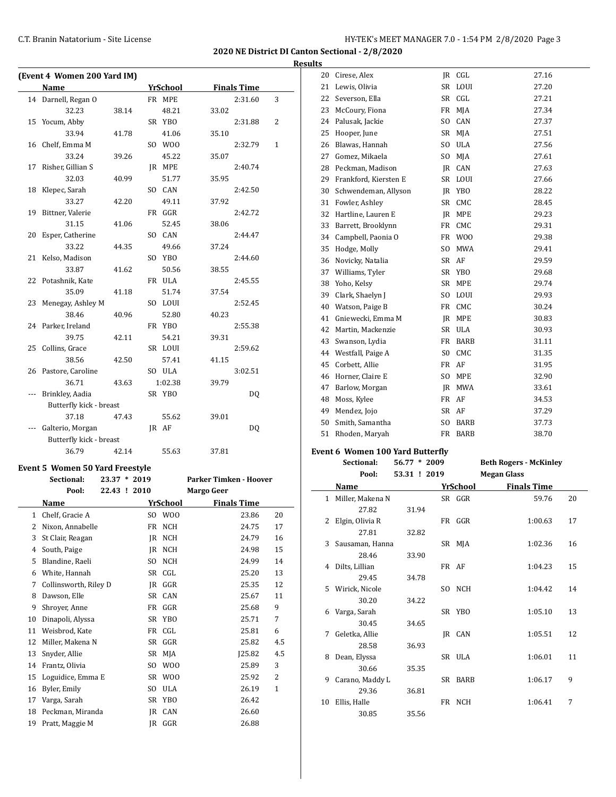**2020 NE District DI Canton Sectional - 2/8/2020 Results**

|    | (Event 4 Women 200 Yard IM) |       |                 |       |                    |              |
|----|-----------------------------|-------|-----------------|-------|--------------------|--------------|
|    | <b>Name</b>                 |       | <b>YrSchool</b> |       | <b>Finals Time</b> |              |
|    | 14 Darnell, Regan O         |       | FR MPE          |       | 2:31.60            | 3            |
|    | 32.23                       | 38.14 | 48.21           | 33.02 |                    |              |
| 15 | Yocum, Abby                 |       | SR YBO          |       | 2:31.88            | 2            |
|    | 33.94                       | 41.78 | 41.06           | 35.10 |                    |              |
|    | 16 Chelf, Emma M            |       | SO WOO          |       | 2:32.79            | $\mathbf{1}$ |
|    | 33.24                       | 39.26 | 45.22           | 35.07 |                    |              |
| 17 | Risher, Gillian S           |       | JR MPE          |       | 2:40.74            |              |
|    | 32.03                       | 40.99 | 51.77           | 35.95 |                    |              |
| 18 | Klepec, Sarah               |       | SO CAN          |       | 2:42.50            |              |
|    | 33.27                       | 42.20 | 49.11           | 37.92 |                    |              |
| 19 | Bittner, Valerie            |       | FR GGR          |       | 2:42.72            |              |
|    | 31.15                       | 41.06 | 52.45           | 38.06 |                    |              |
| 20 | Esper, Catherine            |       | SO CAN          |       | 2:44.47            |              |
|    | 33.22                       | 44.35 | 49.66           | 37.24 |                    |              |
| 21 | Kelso, Madison              |       | SO YBO          |       | 2:44.60            |              |
|    | 33.87                       | 41.62 | 50.56           | 38.55 |                    |              |
|    | 22 Potashnik, Kate          |       | FR ULA          |       | 2:45.55            |              |
|    | 35.09                       | 41.18 | 51.74           | 37.54 |                    |              |
|    | 23 Menegay, Ashley M        |       | SO LOUI         |       | 2:52.45            |              |
|    | 38.46                       | 40.96 | 52.80           | 40.23 |                    |              |
|    | 24 Parker, Ireland          |       | FR YBO          |       | 2:55.38            |              |
|    | 39.75                       | 42.11 | 54.21           | 39.31 |                    |              |
|    | 25 Collins, Grace           |       | SR LOUI         |       | 2:59.62            |              |
|    | 38.56                       | 42.50 | 57.41           | 41.15 |                    |              |
|    | 26 Pastore, Caroline        |       | SO ULA          |       | 3:02.51            |              |
|    | 36.71                       | 43.63 | 1:02.38         | 39.79 |                    |              |
|    | Brinkley, Aadia             |       | SR YBO          |       | DQ                 |              |
|    | Butterfly kick - breast     |       |                 |       |                    |              |
|    | 37.18                       | 47.43 | 55.62           | 39.01 |                    |              |
|    | Galterio, Morgan            |       | IR AF           |       | DQ                 |              |
|    | Butterfly kick - breast     |       |                 |       |                    |              |
|    | 36.79                       | 42.14 | 55.63           | 37.81 |                    |              |

# **Event 5 Women 50 Yard Freestyle**

|    | Sectional:            | $\ast$<br>23.37 | 2019           |                 | <b>Parker Timken - Hoover</b> |              |
|----|-----------------------|-----------------|----------------|-----------------|-------------------------------|--------------|
|    | Pool:                 | 22.43 ! 2010    |                |                 | <b>Margo Geer</b>             |              |
|    | Name                  |                 |                | YrSchool        | <b>Finals Time</b>            |              |
| 1  | Chelf, Gracie A       |                 | SO.            | W <sub>0</sub>  | 23.86                         | 20           |
| 2  | Nixon, Annabelle      |                 | FR             | NCH             | 24.75                         | 17           |
| 3  | St Clair, Reagan      |                 | IR             | <b>NCH</b>      | 24.79                         | 16           |
| 4  | South, Paige          |                 | IR             | <b>NCH</b>      | 24.98                         | 15           |
| 5  | Blandine, Raeli       |                 | S <sub>O</sub> | <b>NCH</b>      | 24.99                         | 14           |
| 6  | White, Hannah         |                 | SR             | CGL             | 25.20                         | 13           |
| 7  | Collinsworth, Riley D |                 | JR             | GGR             | 25.35                         | 12           |
| 8  | Dawson, Elle          |                 | <b>SR</b>      | CAN             | 25.67                         | 11           |
| 9  | Shroyer, Anne         |                 | FR             | GGR             | 25.68                         | 9            |
| 10 | Dinapoli, Alyssa      |                 | SR             | YB <sub>0</sub> | 25.71                         | 7            |
| 11 | Weisbrod, Kate        |                 | FR             | CGL             | 25.81                         | 6            |
| 12 | Miller, Makena N      |                 | SR             | GGR             | 25.82                         | 4.5          |
| 13 | Snyder, Allie         |                 | <b>SR</b>      | MJA             | 125.82                        | 4.5          |
| 14 | Frantz, Olivia        |                 | SO.            | W <sub>0</sub>  | 25.89                         | 3            |
| 15 | Loguidice, Emma E     |                 | SR.            | W <sub>0</sub>  | 25.92                         | 2            |
| 16 | Byler, Emily          |                 | SO.            | <b>ULA</b>      | 26.19                         | $\mathbf{1}$ |
| 17 | Varga, Sarah          |                 | SR             | YB <sub>0</sub> | 26.42                         |              |
| 18 | Peckman, Miranda      |                 | IR             | CAN             | 26.60                         |              |
| 19 | Pratt, Maggie M       |                 | IR             | GGR             | 26.88                         |              |

| 20 | Cirese, Alex          | IR             | CGL             | 27.16 |
|----|-----------------------|----------------|-----------------|-------|
| 21 | Lewis, Olivia         | SR             | LOUI            | 27.20 |
| 22 | Severson, Ella        | SR             | CGL             | 27.21 |
| 23 | McCoury, Fiona        | FR             | MJA             | 27.34 |
| 24 | Palusak, Jackie       | SO.            | CAN             | 27.37 |
| 25 | Hooper, June          | SR             | MJA             | 27.51 |
| 26 | Blawas, Hannah        | SO.            | <b>ULA</b>      | 27.56 |
| 27 | Gomez, Mikaela        | SO.            | MJA             | 27.61 |
| 28 | Peckman, Madison      | IR             | CAN             | 27.63 |
| 29 | Frankford, Kiersten E | SR             | LOUI            | 27.66 |
| 30 | Schwendeman, Allyson  | JR             | YB <sub>0</sub> | 28.22 |
| 31 | Fowler, Ashley        | SR             | CMC             | 28.45 |
| 32 | Hartline, Lauren E    | JR             | <b>MPE</b>      | 29.23 |
| 33 | Barrett, Brooklynn    | FR             | CMC             | 29.31 |
| 34 | Campbell, Paonia O    | FR             | W <sub>0</sub>  | 29.38 |
| 35 | Hodge, Molly          | SO.            | <b>MWA</b>      | 29.41 |
| 36 | Novicky, Natalia      | SR             | AF              | 29.59 |
| 37 | Williams, Tyler       | SR             | <b>YBO</b>      | 29.68 |
| 38 | Yoho, Kelsy           | SR             | <b>MPE</b>      | 29.74 |
| 39 | Clark, Shaelyn J      | SO.            | LOUI            | 29.93 |
| 40 | Watson, Paige B       | FR             | CMC             | 30.24 |
| 41 | Gniewecki, Emma M     | JR             | <b>MPE</b>      | 30.83 |
| 42 | Martin, Mackenzie     | SR             | <b>ULA</b>      | 30.93 |
| 43 | Swanson, Lydia        | FR             | <b>BARB</b>     | 31.11 |
| 44 | Westfall, Paige A     | S <sub>0</sub> | CMC             | 31.35 |
| 45 | Corbett, Allie        | FR             | AF              | 31.95 |
| 46 | Horner, Claire E      | SO.            | <b>MPE</b>      | 32.90 |
| 47 | Barlow, Morgan        | IR             | <b>MWA</b>      | 33.61 |
| 48 | Moss, Kylee           | FR             | AF              | 34.53 |
| 49 | Mendez, Jojo          | SR             | AF              | 37.29 |
| 50 | Smith, Samantha       | SO.            | <b>BARB</b>     | 37.73 |
| 51 | Rhoden, Maryah        | FR             | <b>BARB</b>     | 38.70 |
|    |                       |                |                 |       |

#### **Event 6 Women 100 Yard Butterfly**

|    | Sectional:         | $56.77 * 2009$ |          | <b>Beth Rogers - McKinley</b> |    |
|----|--------------------|----------------|----------|-------------------------------|----|
|    | Pool:              | 53.31 ! 2019   |          | <b>Megan Glass</b>            |    |
|    | Name               |                | YrSchool | <b>Finals Time</b>            |    |
|    | 1 Miller, Makena N |                | SR GGR   | 59.76                         | 20 |
|    | 27.82              | 31.94          |          |                               |    |
| 2  | Elgin, Olivia R    |                | FR GGR   | 1:00.63                       | 17 |
|    | 27.81              | 32.82          |          |                               |    |
| 3  | Sausaman, Hanna    |                | SR MJA   | 1:02.36                       | 16 |
|    | 28.46              | 33.90          |          |                               |    |
| 4  | Dilts, Lillian     |                | FR AF    | 1:04.23                       | 15 |
|    | 29.45              | 34.78          |          |                               |    |
| 5. | Wirick, Nicole     |                | SO NCH   | 1:04.42                       | 14 |
|    | 30.20              | 34.22          |          |                               |    |
| 6  | Varga, Sarah       |                | SR YBO   | 1:05.10                       | 13 |
|    | 30.45              | 34.65          |          |                               |    |
| 7  | Geletka, Allie     |                | IR CAN   | 1:05.51                       | 12 |
|    | 28.58              | 36.93          |          |                               |    |
| 8  | Dean, Elyssa       |                | SR ULA   | 1:06.01                       | 11 |
|    | 30.66              | 35.35          |          |                               |    |
| 9  | Carano, Maddy L    |                | SR BARB  | 1:06.17                       | 9  |
|    | 29.36              | 36.81          |          |                               |    |
| 10 | Ellis, Halle       |                | FR NCH   | 1:06.41                       | 7  |
|    | 30.85              | 35.56          |          |                               |    |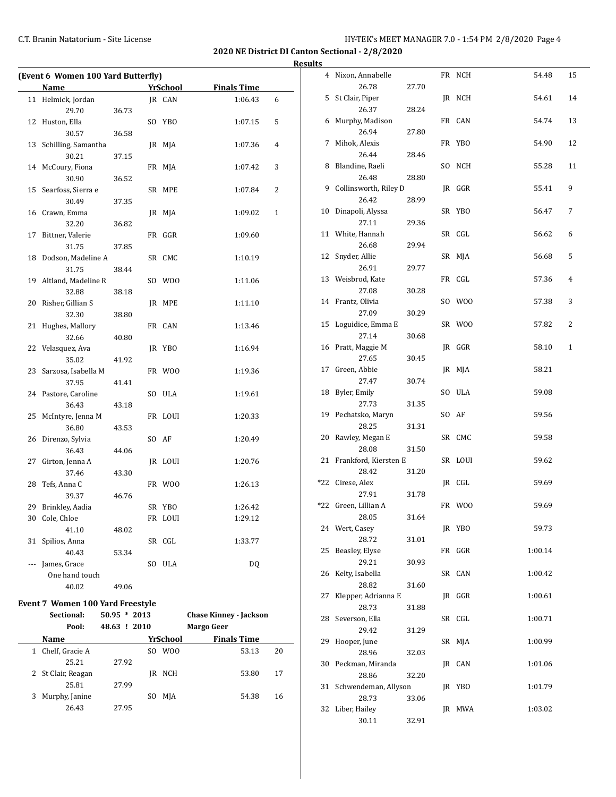**2020 NE District DI Canton Sectional - 2/8/2020**

|     | (Event 6 Women 100 Yard Butterfly) |       |  |          |                    |                |  |  |  |  |  |  |
|-----|------------------------------------|-------|--|----------|--------------------|----------------|--|--|--|--|--|--|
|     | Name                               |       |  | YrSchool | <b>Finals Time</b> |                |  |  |  |  |  |  |
| 11  | Helmick, Jordan                    |       |  | JR CAN   | 1:06.43            | 6              |  |  |  |  |  |  |
|     | 29.70                              | 36.73 |  |          |                    |                |  |  |  |  |  |  |
| 12  | Huston, Ella                       |       |  | SO YBO   | 1:07.15            | 5              |  |  |  |  |  |  |
|     | 30.57                              | 36.58 |  |          |                    |                |  |  |  |  |  |  |
| 13  | Schilling, Samantha                |       |  | JR MJA   | 1:07.36            | $\overline{4}$ |  |  |  |  |  |  |
|     | 30.21                              | 37.15 |  |          |                    |                |  |  |  |  |  |  |
| 14  | McCoury, Fiona                     |       |  | FR MJA   | 1:07.42            | 3              |  |  |  |  |  |  |
|     | 30.90                              | 36.52 |  |          |                    |                |  |  |  |  |  |  |
| 15  | Searfoss, Sierra e                 |       |  | SR MPE   | 1:07.84            | 2              |  |  |  |  |  |  |
|     | 30.49                              | 37.35 |  |          |                    |                |  |  |  |  |  |  |
| 16  | Crawn, Emma                        |       |  | JR MJA   | 1:09.02            | 1              |  |  |  |  |  |  |
|     | 32.20                              | 36.82 |  |          |                    |                |  |  |  |  |  |  |
| 17  | Bittner, Valerie                   |       |  | FR GGR   | 1:09.60            |                |  |  |  |  |  |  |
|     | 31.75                              | 37.85 |  |          |                    |                |  |  |  |  |  |  |
| 18  | Dodson, Madeline A                 |       |  | SR CMC   | 1:10.19            |                |  |  |  |  |  |  |
|     | 31.75                              | 38.44 |  |          |                    |                |  |  |  |  |  |  |
| 19  | Altland, Madeline R                |       |  | SO WOO   | 1:11.06            |                |  |  |  |  |  |  |
|     | 32.88                              | 38.18 |  |          |                    |                |  |  |  |  |  |  |
| 20  | Risher, Gillian S                  |       |  | JR MPE   | 1:11.10            |                |  |  |  |  |  |  |
|     | 32.30                              | 38.80 |  |          |                    |                |  |  |  |  |  |  |
| 21  | Hughes, Mallory                    |       |  | FR CAN   | 1:13.46            |                |  |  |  |  |  |  |
|     | 32.66                              | 40.80 |  |          |                    |                |  |  |  |  |  |  |
| 22  | Velasquez, Ava                     |       |  | JR YBO   | 1:16.94            |                |  |  |  |  |  |  |
|     | 35.02                              | 41.92 |  |          |                    |                |  |  |  |  |  |  |
| 23  | Sarzosa, Isabella M                |       |  | FR WOO   | 1:19.36            |                |  |  |  |  |  |  |
|     | 37.95                              | 41.41 |  |          |                    |                |  |  |  |  |  |  |
|     | 24 Pastore, Caroline               |       |  | SO ULA   | 1:19.61            |                |  |  |  |  |  |  |
|     | 36.43                              | 43.18 |  |          |                    |                |  |  |  |  |  |  |
| 25  | McIntyre, Jenna M                  |       |  | FR LOUI  | 1:20.33            |                |  |  |  |  |  |  |
|     | 36.80                              | 43.53 |  |          |                    |                |  |  |  |  |  |  |
| 26  | Direnzo, Sylvia                    |       |  | SO AF    | 1:20.49            |                |  |  |  |  |  |  |
|     | 36.43                              | 44.06 |  |          |                    |                |  |  |  |  |  |  |
| 27  | Girton, Jenna A                    |       |  | JR LOUI  | 1:20.76            |                |  |  |  |  |  |  |
|     | 37.46                              | 43.30 |  |          |                    |                |  |  |  |  |  |  |
| 28  | Tefs, Anna C<br>39.37              |       |  | FR WOO   | 1:26.13            |                |  |  |  |  |  |  |
| 29  |                                    | 46.76 |  | SR YBO   | 1:26.42            |                |  |  |  |  |  |  |
| 30  | Brinkley, Aadia<br>Cole, Chloe     |       |  | FR LOUI  | 1:29.12            |                |  |  |  |  |  |  |
|     | 41.10                              | 48.02 |  |          |                    |                |  |  |  |  |  |  |
| 31  | Spilios, Anna                      |       |  | SR CGL   | 1:33.77            |                |  |  |  |  |  |  |
|     | 40.43                              | 53.34 |  |          |                    |                |  |  |  |  |  |  |
| --- | James, Grace                       |       |  | SO ULA   | DQ                 |                |  |  |  |  |  |  |
|     | One hand touch                     |       |  |          |                    |                |  |  |  |  |  |  |
|     | 40.02                              | 49.06 |  |          |                    |                |  |  |  |  |  |  |
|     |                                    |       |  |          |                    |                |  |  |  |  |  |  |

# **Event 7 Women 100 Yard Freestyle**

|   | Sectional:         | $50.95 * 2013$ |     | <b>Chase Kinney - Jackson</b> |                    |    |  |  |  |  |
|---|--------------------|----------------|-----|-------------------------------|--------------------|----|--|--|--|--|
|   | Pool:              | 48.63<br>!2010 |     |                               | Margo Geer         |    |  |  |  |  |
|   | Name               |                |     | YrSchool                      | <b>Finals Time</b> |    |  |  |  |  |
| 1 | Chelf, Gracie A    |                | SO. | W <sub>00</sub>               | 53.13              | 20 |  |  |  |  |
|   | 25.21              | 27.92          |     |                               |                    |    |  |  |  |  |
|   | 2 St Clair, Reagan |                | IR  | NCH                           | 53.80              | 17 |  |  |  |  |
|   | 25.81              | 27.99          |     |                               |                    |    |  |  |  |  |
| 3 | Murphy, Janine     |                | SΟ  | MJA                           | 54.38              | 16 |  |  |  |  |
|   | 26.43              | 27.95          |     |                               |                    |    |  |  |  |  |

| <b>Results</b> |                           |       |         |         |              |
|----------------|---------------------------|-------|---------|---------|--------------|
|                | 4 Nixon, Annabelle        |       | FR NCH  | 54.48   | 15           |
|                | 26.78                     | 27.70 |         |         |              |
|                | 5 St Clair, Piper         |       | JR NCH  | 54.61   | 14           |
|                | 26.37                     | 28.24 |         |         |              |
|                | 6 Murphy, Madison         |       | FR CAN  | 54.74   | 13           |
|                | 26.94                     | 27.80 |         |         |              |
|                | 7 Mihok, Alexis           |       | FR YBO  | 54.90   | 12           |
|                | 26.44                     | 28.46 |         |         |              |
|                | 8 Blandine, Raeli         |       | SO NCH  | 55.28   | 11           |
|                | 26.48                     | 28.80 |         |         |              |
|                | 9 Collinsworth, Riley D   |       | JR GGR  | 55.41   | 9            |
|                | 26.42                     | 28.99 |         |         |              |
|                | 10 Dinapoli, Alyssa       |       | SR YBO  | 56.47   | 7            |
|                | 27.11                     | 29.36 |         |         |              |
|                | 11 White, Hannah          |       | SR CGL  | 56.62   | 6            |
|                | 26.68                     | 29.94 |         |         |              |
|                | 12 Snyder, Allie          |       | SR MJA  | 56.68   | 5            |
|                | 26.91                     | 29.77 |         |         |              |
|                | 13 Weisbrod, Kate         |       | FR CGL  | 57.36   | 4            |
|                | 27.08                     | 30.28 |         |         |              |
|                | 14 Frantz, Olivia         |       | SO WOO  | 57.38   | 3            |
|                | 27.09                     | 30.29 |         |         |              |
|                | 15 Loguidice, Emma E      |       | SR WOO  | 57.82   | 2            |
|                | 27.14                     | 30.68 |         |         |              |
|                | 16 Pratt, Maggie M        |       | IR GGR  | 58.10   | $\mathbf{1}$ |
|                | 27.65                     | 30.45 |         |         |              |
|                | 17 Green, Abbie           |       | JR MJA  | 58.21   |              |
|                | 27.47                     | 30.74 |         |         |              |
|                | 18 Byler, Emily           |       | SO ULA  | 59.08   |              |
|                | 27.73                     | 31.35 |         |         |              |
|                | 19 Pechatsko, Maryn       |       | SO AF   | 59.56   |              |
|                | 28.25                     | 31.31 |         |         |              |
|                | 20 Rawley, Megan E        |       | SR CMC  | 59.58   |              |
|                | 28.08                     | 31.50 |         |         |              |
|                | 21 Frankford, Kiersten E  |       | SR LOUI | 59.62   |              |
|                | 28.42<br>*22 Cirese, Alex | 31.20 |         | 59.69   |              |
|                | 27.91                     | 31.78 | JR CGL  |         |              |
|                | *22 Green, Lillian A      |       | FR WOO  | 59.69   |              |
|                | 28.05                     | 31.64 |         |         |              |
|                | 24 Wert, Casey            |       | JR YBO  | 59.73   |              |
|                | 28.72                     | 31.01 |         |         |              |
|                | 25 Beasley, Elyse         |       | FR GGR  | 1:00.14 |              |
|                | 29.21                     | 30.93 |         |         |              |
| 26             | Kelty, Isabella           |       | SR CAN  | 1:00.42 |              |
|                | 28.82                     | 31.60 |         |         |              |
| 27             | Klepper, Adrianna E       |       | JR GGR  | 1:00.61 |              |
|                | 28.73                     | 31.88 |         |         |              |
|                | 28 Severson, Ella         |       | SR CGL  | 1:00.71 |              |
|                | 29.42                     | 31.29 |         |         |              |
| 29             | Hooper, June              |       | SR MJA  | 1:00.99 |              |
|                | 28.96                     | 32.03 |         |         |              |
|                | 30 Peckman, Miranda       |       | JR CAN  | 1:01.06 |              |
|                | 28.86                     | 32.20 |         |         |              |
| 31             | Schwendeman, Allyson      |       | JR YBO  | 1:01.79 |              |
|                | 28.73                     | 33.06 |         |         |              |
|                | 32 Liber, Hailey          |       | JR MWA  | 1:03.02 |              |
|                | 30.11                     | 32.91 |         |         |              |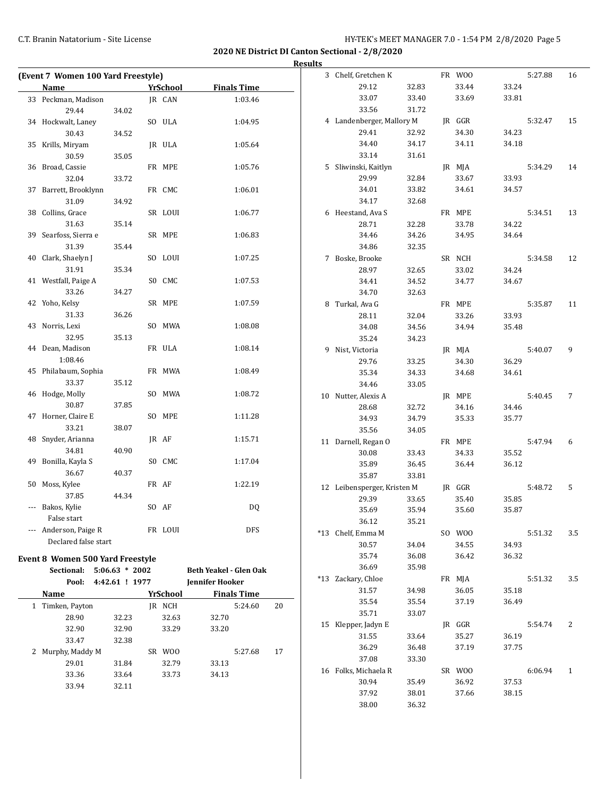**2020 NE District DI Canton Sectional - 2/8/2020**

|                                         |       |                 |                        |                    |    | <b>Results</b> |                             |       |        |       |         |     |
|-----------------------------------------|-------|-----------------|------------------------|--------------------|----|----------------|-----------------------------|-------|--------|-------|---------|-----|
| (Event 7 Women 100 Yard Freestyle)      |       |                 |                        |                    |    |                | 3 Chelf, Gretchen K         |       | FR WOO |       | 5:27.88 | 16  |
| Name                                    |       | YrSchool        |                        | <b>Finals Time</b> |    |                | 29.12                       | 32.83 | 33.44  | 33.24 |         |     |
| 33 Peckman, Madison                     |       | JR CAN          |                        | 1:03.46            |    |                | 33.07                       | 33.40 | 33.69  | 33.81 |         |     |
| 29.44                                   | 34.02 |                 |                        |                    |    |                | 33.56                       | 31.72 |        |       |         |     |
| 34 Hockwalt, Laney                      |       | SO ULA          |                        | 1:04.95            |    |                | 4 Landenberger, Mallory M   |       | JR GGR |       | 5:32.47 | 15  |
| 30.43                                   | 34.52 |                 |                        |                    |    |                | 29.41                       | 32.92 | 34.30  | 34.23 |         |     |
| 35 Krills, Miryam                       |       | JR ULA          |                        | 1:05.64            |    |                | 34.40                       | 34.17 | 34.11  | 34.18 |         |     |
| 30.59                                   | 35.05 |                 |                        |                    |    |                | 33.14                       | 31.61 |        |       |         |     |
| 36 Broad, Cassie                        |       | FR MPE          |                        | 1:05.76            |    |                | 5 Sliwinski, Kaitlyn        |       | JR MJA |       | 5:34.29 | 14  |
| 32.04                                   | 33.72 |                 |                        |                    |    |                | 29.99                       | 32.84 | 33.67  | 33.93 |         |     |
| 37 Barrett, Brooklynn                   |       | FR CMC          |                        | 1:06.01            |    |                | 34.01                       | 33.82 | 34.61  | 34.57 |         |     |
| 31.09                                   | 34.92 |                 |                        |                    |    |                | 34.17                       | 32.68 |        |       |         |     |
| 38 Collins, Grace                       |       | SR LOUI         |                        | 1:06.77            |    |                | 6 Heestand, Ava S           |       | FR MPE |       | 5:34.51 | 13  |
| 31.63                                   | 35.14 |                 |                        |                    |    |                | 28.71                       | 32.28 | 33.78  | 34.22 |         |     |
| 39 Searfoss, Sierra e                   |       | SR MPE          |                        | 1:06.83            |    |                | 34.46                       | 34.26 | 34.95  | 34.64 |         |     |
| 31.39                                   | 35.44 |                 |                        |                    |    |                | 34.86                       | 32.35 |        |       |         |     |
| 40 Clark, Shaelyn J                     |       | SO LOUI         |                        | 1:07.25            |    |                | 7 Boske, Brooke             |       | SR NCH |       | 5:34.58 | 12  |
| 31.91                                   | 35.34 |                 |                        |                    |    |                | 28.97                       | 32.65 | 33.02  | 34.24 |         |     |
| 41 Westfall, Paige A                    |       | SO CMC          |                        | 1:07.53            |    |                | 34.41                       | 34.52 | 34.77  | 34.67 |         |     |
| 33.26                                   | 34.27 |                 |                        |                    |    |                | 34.70                       | 32.63 |        |       |         |     |
| 42 Yoho, Kelsy                          |       | SR MPE          |                        | 1:07.59            |    |                | 8 Turkal, Ava G             |       | FR MPE |       | 5:35.87 | 11  |
| 31.33                                   | 36.26 |                 |                        |                    |    |                | 28.11                       | 32.04 | 33.26  | 33.93 |         |     |
| 43 Norris, Lexi                         |       | SO MWA          |                        | 1:08.08            |    |                | 34.08                       | 34.56 | 34.94  | 35.48 |         |     |
| 32.95                                   | 35.13 |                 |                        |                    |    |                | 35.24                       | 34.23 |        |       |         |     |
| 44 Dean, Madison                        |       | FR ULA          |                        | 1:08.14            |    |                | 9 Nist, Victoria            |       | JR MJA |       | 5:40.07 | 9   |
| 1:08.46                                 |       |                 |                        |                    |    |                | 29.76                       | 33.25 | 34.30  | 36.29 |         |     |
| 45 Philabaum, Sophia                    |       | FR MWA          |                        | 1:08.49            |    |                | 35.34                       | 34.33 | 34.68  | 34.61 |         |     |
| 33.37                                   | 35.12 |                 |                        |                    |    |                | 34.46                       | 33.05 |        |       |         |     |
| 46 Hodge, Molly                         |       | SO MWA          |                        | 1:08.72            |    |                | 10 Nutter, Alexis A         |       | JR MPE |       | 5:40.45 | 7   |
| 30.87                                   | 37.85 |                 |                        |                    |    |                | 28.68                       | 32.72 | 34.16  | 34.46 |         |     |
| 47 Horner, Claire E                     |       | SO MPE          |                        | 1:11.28            |    |                | 34.93                       | 34.79 | 35.33  | 35.77 |         |     |
| 33.21                                   | 38.07 |                 |                        |                    |    |                | 35.56                       | 34.05 |        |       |         |     |
| 48 Snyder, Arianna                      |       | JR AF           |                        | 1:15.71            |    |                | 11 Darnell, Regan O         |       | FR MPE |       | 5:47.94 | 6   |
| 34.81                                   | 40.90 |                 |                        |                    |    |                | 30.08                       | 33.43 | 34.33  | 35.52 |         |     |
| 49 Bonilla, Kayla S                     |       | SO CMC          |                        | 1:17.04            |    |                | 35.89                       | 36.45 | 36.44  | 36.12 |         |     |
| 36.67                                   | 40.37 |                 |                        |                    |    |                | 35.87                       | 33.81 |        |       |         |     |
| 50 Moss, Kylee                          |       | FR AF           |                        | 1:22.19            |    |                | 12 Leibensperger, Kristen M |       | JR GGR |       | 5:48.72 | 5   |
| 37.85                                   | 44.34 |                 |                        |                    |    |                | 29.39                       | 33.65 | 35.40  | 35.85 |         |     |
| --- Bakos, Kylie                        |       | SO AF           |                        | DQ                 |    |                | 35.69                       | 35.94 | 35.60  | 35.87 |         |     |
| False start                             |       |                 |                        |                    |    |                | 36.12                       | 35.21 |        |       |         |     |
| --- Anderson, Paige R                   |       | FR LOUI         |                        | DFS                |    |                | *13 Chelf, Emma M           |       | SO WOO |       | 5:51.32 | 3.5 |
| Declared false start                    |       |                 |                        |                    |    |                | 30.57                       | 34.04 | 34.55  | 34.93 |         |     |
| <b>Event 8 Women 500 Yard Freestyle</b> |       |                 |                        |                    |    |                | 35.74                       | 36.08 | 36.42  | 36.32 |         |     |
| Sectional: 5:06.63 * 2002               |       |                 | Beth Yeakel - Glen Oak |                    |    |                | 36.69                       | 35.98 |        |       |         |     |
| Pool: 4:42.61 ! 1977                    |       |                 | Jennifer Hooker        |                    |    |                | *13 Zackary, Chloe          |       | FR MJA |       | 5:51.32 | 3.5 |
| Name                                    |       | <b>YrSchool</b> |                        | <b>Finals Time</b> |    |                | 31.57                       | 34.98 | 36.05  | 35.18 |         |     |
| 1 Timken, Payton                        |       | JR NCH          |                        | 5:24.60            | 20 |                | 35.54                       | 35.54 | 37.19  | 36.49 |         |     |
| 28.90                                   | 32.23 | 32.63           | 32.70                  |                    |    |                | 35.71                       | 33.07 |        |       |         |     |
| 32.90                                   | 32.90 | 33.29           | 33.20                  |                    |    |                | 15 Klepper, Jadyn E         |       | JR GGR |       | 5:54.74 | 2   |
| 33.47                                   | 32.38 |                 |                        |                    |    |                | 31.55                       | 33.64 | 35.27  | 36.19 |         |     |
| 2 Murphy, Maddy M                       |       | SR WOO          |                        | 5:27.68            | 17 |                | 36.29                       | 36.48 | 37.19  | 37.75 |         |     |
| 29.01                                   | 31.84 | 32.79           | 33.13                  |                    |    |                | 37.08                       | 33.30 |        |       |         |     |
| 33.36                                   | 33.64 | 33.73           | 34.13                  |                    |    |                | 16 Folks, Michaela R        |       | SR WOO |       | 6:06.94 | 1   |
| 33.94                                   | 32.11 |                 |                        |                    |    |                | 30.94                       | 35.49 | 36.92  | 37.53 |         |     |
|                                         |       |                 |                        |                    |    |                | 37.92                       | 38.01 | 37.66  | 38.15 |         |     |
|                                         |       |                 |                        |                    |    |                | 38.00                       | 36.32 |        |       |         |     |
|                                         |       |                 |                        |                    |    |                |                             |       |        |       |         |     |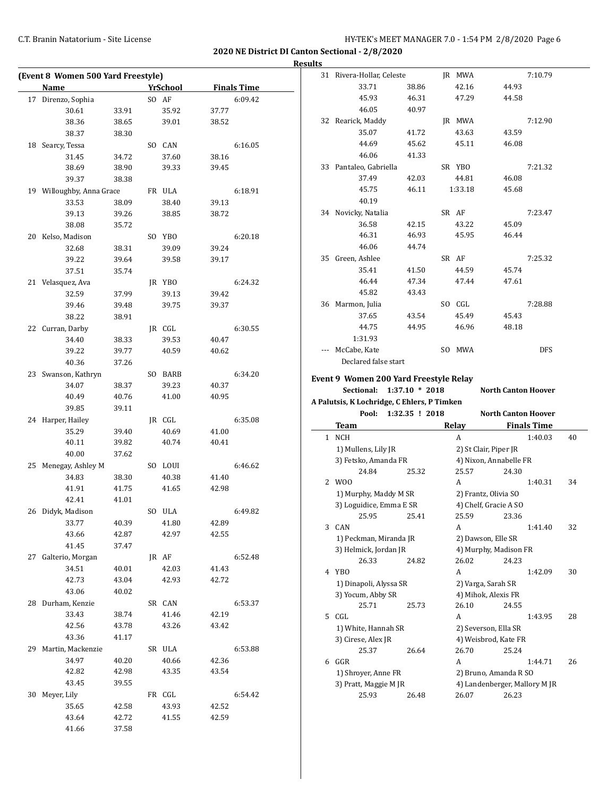| (Event 8 Women 500 Yard Freestyle)<br><b>Name</b> |                | <b>YrSchool</b> |                | <b>Finals Time</b> |
|---------------------------------------------------|----------------|-----------------|----------------|--------------------|
| 17 Direnzo, Sophia                                |                | SO AF           |                | 6:09.42            |
| 30.61                                             | 33.91          | 35.92           | 37.77          |                    |
| 38.36                                             | 38.65          | 39.01           | 38.52          |                    |
| 38.37                                             | 38.30          |                 |                |                    |
| 18 Searcy, Tessa                                  |                | SO CAN          |                | 6:16.05            |
| 31.45                                             | 34.72          | 37.60           | 38.16          |                    |
| 38.69                                             | 38.90          | 39.33           | 39.45          |                    |
| 39.37                                             | 38.38          |                 |                |                    |
| 19 Willoughby, Anna Grace                         |                | FR ULA          |                | 6:18.91            |
| 33.53                                             | 38.09          | 38.40           | 39.13          |                    |
| 39.13                                             | 39.26          | 38.85           | 38.72          |                    |
| 38.08                                             | 35.72          |                 |                |                    |
| 20 Kelso, Madison                                 |                | SO YBO          |                | 6:20.18            |
| 32.68                                             | 38.31          | 39.09           | 39.24          |                    |
| 39.22                                             | 39.64          | 39.58           | 39.17          |                    |
| 37.51                                             | 35.74          |                 |                |                    |
| 21 Velasquez, Ava                                 |                | JR YBO          |                | 6:24.32            |
| 32.59                                             | 37.99          | 39.13           | 39.42          |                    |
| 39.46                                             | 39.48          | 39.75           | 39.37          |                    |
| 38.22                                             | 38.91          |                 |                |                    |
| 22 Curran, Darby                                  |                | JR CGL          |                | 6:30.55            |
| 34.40                                             | 38.33          | 39.53           | 40.47          |                    |
| 39.22                                             | 39.77          | 40.59           | 40.62          |                    |
| 40.36                                             | 37.26          |                 |                |                    |
|                                                   |                |                 |                |                    |
| 23 Swanson, Kathryn                               |                | SO BARB         |                | 6:34.20            |
| 34.07                                             | 38.37          | 39.23           | 40.37          |                    |
| 40.49<br>39.85                                    | 40.76<br>39.11 | 41.00           | 40.95          |                    |
| 24 Harper, Hailey                                 |                |                 |                | 6:35.08            |
| 35.29                                             |                | JR CGL          |                |                    |
|                                                   | 39.40<br>39.82 | 40.69<br>40.74  | 41.00<br>40.41 |                    |
| 40.11                                             |                |                 |                |                    |
| 40.00<br>25 Menegay, Ashley M                     | 37.62          | SO LOUI         |                | 6:46.62            |
|                                                   |                |                 |                |                    |
| 34.83                                             | 38.30          | 40.38           | 41.40<br>42.98 |                    |
| 41.91                                             | 41.75          | 41.65           |                |                    |
| 42.41                                             | 41.01          |                 |                |                    |
| 26 Didyk, Madison                                 |                | SO ULA          |                | 6:49.82            |
| 33.77                                             | 40.39          | 41.80           | 42.89          |                    |
| 43.66                                             | 42.87          | 42.97           | 42.55          |                    |
| 41.45                                             | 37.47          |                 |                |                    |
| 27 Galterio, Morgan                               |                | JR AF           |                | 6:52.48            |
| 34.51                                             | 40.01          | 42.03           | 41.43          |                    |
| 42.73                                             | 43.04          | 42.93           | 42.72          |                    |
| 43.06                                             | 40.02          |                 |                |                    |
| 28 Durham, Kenzie                                 |                | SR CAN          |                | 6:53.37            |
| 33.43                                             | 38.74          | 41.46           | 42.19          |                    |
| 42.56                                             | 43.78          | 43.26           | 43.42          |                    |
| 43.36                                             | 41.17          |                 |                |                    |
| 29 Martin, Mackenzie                              |                | SR ULA          |                | 6:53.88            |
| 34.97                                             | 40.20          | 40.66           | 42.36          |                    |
| 42.82                                             | 42.98          | 43.35           | 43.54          |                    |
| 43.45                                             | 39.55          |                 |                |                    |
| 30 Meyer, Lily                                    |                | FR CGL          |                | 6:54.42            |
| 35.65                                             | 42.58          | 43.93           | 42.52          |                    |
| 43.64                                             | 42.72          | 41.55           | 42.59          |                    |
| 41.66                                             | 37.58          |                 |                |                    |
|                                                   |                |                 |                |                    |

| <b>Results</b> |                                                                              |                  |            |                               |                               |    |
|----------------|------------------------------------------------------------------------------|------------------|------------|-------------------------------|-------------------------------|----|
|                | 31 Rivera-Hollar, Celeste                                                    |                  | JR MWA     |                               | 7:10.79                       |    |
|                | 33.71                                                                        | 38.86            | 42.16      | 44.93                         |                               |    |
|                | 45.93                                                                        | 46.31            | 47.29      | 44.58                         |                               |    |
|                | 46.05                                                                        | 40.97            |            |                               |                               |    |
|                | 32 Rearick, Maddy                                                            |                  | JR MWA     |                               | 7:12.90                       |    |
|                | 35.07                                                                        | 41.72            | 43.63      | 43.59                         |                               |    |
|                | 44.69                                                                        | 45.62            | 45.11      | 46.08                         |                               |    |
|                | 46.06                                                                        | 41.33            |            |                               |                               |    |
|                | 33 Pantaleo, Gabriella                                                       |                  | SR YBO     |                               | 7:21.32                       |    |
|                | 37.49                                                                        | 42.03            | 44.81      | 46.08                         |                               |    |
|                | 45.75                                                                        | 46.11            | 1:33.18    | 45.68                         |                               |    |
|                | 40.19                                                                        |                  |            |                               |                               |    |
|                | 34 Novicky, Natalia                                                          |                  | SR AF      |                               | 7:23.47                       |    |
|                | 36.58                                                                        | 42.15            | 43.22      | 45.09                         |                               |    |
|                | 46.31                                                                        | 46.93            | 45.95      | 46.44                         |                               |    |
|                | 46.06                                                                        | 44.74            |            |                               |                               |    |
|                | 35 Green, Ashlee                                                             |                  | SR AF      |                               | 7:25.32                       |    |
|                | 35.41                                                                        | 41.50            | 44.59      | 45.74                         |                               |    |
|                | 46.44                                                                        | 47.34            | 47.44      | 47.61                         |                               |    |
|                | 45.82                                                                        | 43.43            |            |                               |                               |    |
|                | 36 Marmon, Julia                                                             |                  | SO CGL     |                               | 7:28.88                       |    |
|                | 37.65                                                                        | 43.54            | 45.49      | 45.43                         |                               |    |
|                | 44.75                                                                        | 44.95            | 46.96      | 48.18                         |                               |    |
|                | 1:31.93                                                                      |                  |            |                               |                               |    |
|                | --- McCabe, Kate                                                             |                  | SO MWA     |                               | <b>DFS</b>                    |    |
|                |                                                                              |                  |            |                               |                               |    |
|                | Declared false start<br>Event 9 Women 200 Yard Freestyle Relay<br>Sectional: | $1:37.10 * 2018$ |            | <b>North Canton Hoover</b>    |                               |    |
|                | A Palutsis, K Lochridge, C Ehlers, P Timken                                  |                  |            |                               |                               |    |
|                | Pool:                                                                        | $1:32.35$ ! 2018 |            | <b>North Canton Hoover</b>    |                               |    |
|                | <b>Team</b><br>1 NCH                                                         |                  | Relay<br>A |                               | <b>Finals Time</b><br>1:40.03 |    |
|                | 1) Mullens, Lily JR                                                          |                  |            | 2) St Clair, Piper JR         |                               |    |
|                |                                                                              |                  |            | 4) Nixon, Annabelle FR        |                               |    |
|                | 3) Fetsko, Amanda FR<br>24.84                                                | 25.32            | 25.57      | 24.30                         |                               | 40 |
|                | 2 W <sub>00</sub>                                                            |                  | A          |                               | 1:40.31                       | 34 |
|                | 1) Murphy, Maddy M SR                                                        |                  |            | 2) Frantz, Olivia SO          |                               |    |
|                | 3) Loguidice, Emma E SR                                                      |                  |            | 4) Chelf, Gracie A SO         |                               |    |
|                | 25.95                                                                        | 25.41            | 25.59      | 23.36                         |                               |    |
|                | 3 CAN                                                                        |                  | A          |                               | 1:41.40                       | 32 |
|                | 1) Peckman, Miranda JR                                                       |                  |            | 2) Dawson, Elle SR            |                               |    |
|                | 3) Helmick, Jordan JR                                                        |                  |            | 4) Murphy, Madison FR         |                               |    |
|                | 26.33                                                                        | 24.82            | 26.02      | 24.23                         |                               |    |
|                | 4 YBO                                                                        |                  | A          |                               | 1:42.09                       | 30 |
|                | 1) Dinapoli, Alyssa SR                                                       |                  |            | 2) Varga, Sarah SR            |                               |    |
|                | 3) Yocum, Abby SR                                                            |                  |            | 4) Mihok, Alexis FR           |                               |    |
|                | 25.71                                                                        | 25.73            | 26.10      | 24.55                         |                               |    |
|                | 5 CGL                                                                        |                  | A          |                               | 1:43.95                       | 28 |
|                | 1) White, Hannah SR                                                          |                  |            | 2) Severson, Ella SR          |                               |    |
|                | 3) Cirese, Alex JR                                                           |                  |            | 4) Weisbrod, Kate FR          |                               |    |
|                | 25.37                                                                        | 26.64            | 26.70      | 25.24                         |                               |    |
|                | 6 GGR                                                                        |                  | A          |                               | 1:44.71                       | 26 |
|                | 1) Shroyer, Anne FR                                                          |                  |            | 2) Bruno, Amanda R SO         |                               |    |
|                | 3) Pratt, Maggie M JR                                                        |                  |            | 4) Landenberger, Mallory M JR |                               |    |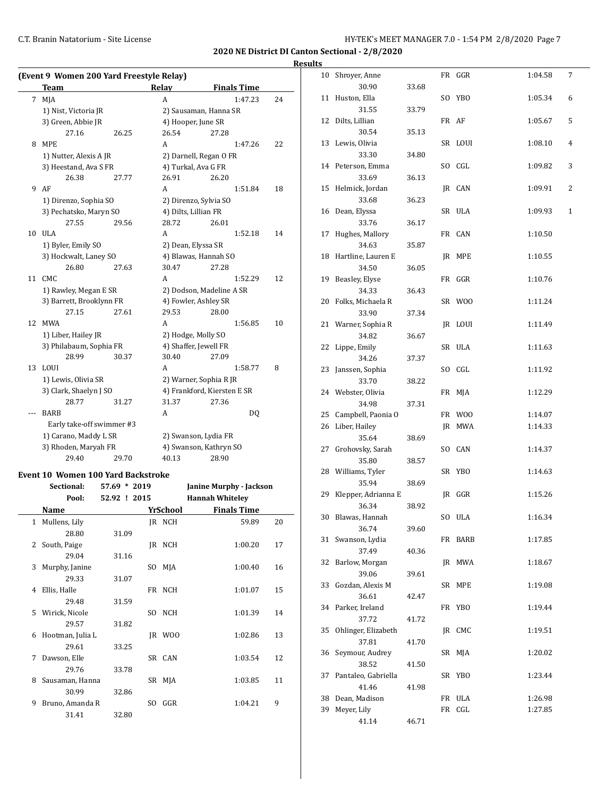**2020 NE District DI Canton Sectional - 2/8/2020**

# **Results**<br><sup>10 Sh</sup>

|          | (Event 9 Women 200 Yard Freestyle Relay) |              |                      |                                                                                               |    | 10 Shroyer, Anne       |       | FR GGR  | 1:04.58 | 7              |
|----------|------------------------------------------|--------------|----------------------|-----------------------------------------------------------------------------------------------|----|------------------------|-------|---------|---------|----------------|
|          | <b>Team</b>                              |              | Relay                | <b>Finals Time</b>                                                                            |    | 30.90                  | 33.68 |         |         |                |
|          | 7 MJA                                    |              | $\mathsf{A}$         | 1:47.23                                                                                       | 24 | 11 Huston, Ella        |       | SO YBO  | 1:05.34 | 6              |
|          | 1) Nist, Victoria JR                     |              |                      | 2) Sausaman, Hanna SR                                                                         |    | 31.55                  | 33.79 |         |         |                |
|          | 3) Green, Abbie JR                       |              | 4) Hooper, June SR   |                                                                                               |    | 12 Dilts, Lillian      |       | FR AF   | 1:05.67 | 5              |
|          | 27.16                                    | 26.25        | 26.54                | 27.28                                                                                         |    | 30.54                  | 35.13 |         |         |                |
|          | 8 MPE                                    |              | A                    | 1:47.26                                                                                       | 22 | 13 Lewis, Olivia       |       | SR LOUI | 1:08.10 | $\overline{4}$ |
|          | 1) Nutter, Alexis A JR                   |              |                      | 2) Darnell, Regan O FR                                                                        |    | 33.30                  | 34.80 |         |         |                |
|          | 3) Heestand, Ava S FR                    |              | 4) Turkal, Ava G FR  |                                                                                               |    | 14 Peterson, Emma      |       | SO CGL  | 1:09.82 | 3              |
|          | 26.38                                    | 27.77        | 26.91                | 26.20                                                                                         |    | 33.69                  | 36.13 |         |         |                |
|          | 9 AF                                     |              | A                    | 1:51.84                                                                                       | 18 | 15 Helmick, Jordan     |       | JR CAN  | 1:09.91 | 2              |
|          | 1) Direnzo, Sophia SO                    |              |                      | 2) Direnzo, Sylvia SO                                                                         |    | 33.68                  | 36.23 |         |         |                |
|          | 3) Pechatsko, Maryn SO                   |              | 4) Dilts, Lillian FR |                                                                                               |    | 16 Dean, Elyssa        |       | SR ULA  | 1:09.93 | $\mathbf{1}$   |
|          | 27.55                                    | 29.56        | 28.72                | 26.01                                                                                         |    | 33.76                  | 36.17 |         |         |                |
|          | 10 ULA                                   |              | A                    | 1:52.18                                                                                       | 14 | 17 Hughes, Mallory     |       | FR CAN  | 1:10.50 |                |
|          | 1) Byler, Emily SO                       |              | 2) Dean, Elyssa SR   |                                                                                               |    | 34.63                  | 35.87 |         |         |                |
|          | 3) Hockwalt, Laney SO                    |              |                      | 4) Blawas, Hannah SO                                                                          |    | 18 Hartline, Lauren E  |       | JR MPE  | 1:10.55 |                |
|          | 26.80                                    | 27.63        | 30.47                | 27.28                                                                                         |    | 34.50                  | 36.05 |         |         |                |
|          | 11 CMC                                   |              | A                    | 1:52.29                                                                                       | 12 | 19 Beasley, Elyse      |       | FR GGR  | 1:10.76 |                |
|          | 1) Rawley, Megan E SR                    |              |                      | 2) Dodson, Madeline A SR                                                                      |    | 34.33                  | 36.43 |         |         |                |
|          | 3) Barrett, Brooklynn FR                 |              |                      | 4) Fowler, Ashley SR                                                                          |    | 20 Folks, Michaela R   |       | SR WOO  | 1:11.24 |                |
|          | 27.15                                    | 27.61        | 29.53                | 28.00                                                                                         |    | 33.90                  | 37.34 |         |         |                |
|          | 12 MWA                                   |              | A                    | 1:56.85                                                                                       | 10 | 21 Warner, Sophia R    |       | JR LOUI | 1:11.49 |                |
|          | 1) Liber, Hailey JR                      |              | 2) Hodge, Molly SO   |                                                                                               |    | 34.82                  | 36.67 |         |         |                |
|          | 3) Philabaum, Sophia FR                  |              |                      | 4) Shaffer, Jewell FR                                                                         |    | 22 Lippe, Emily        |       | SR ULA  | 1:11.63 |                |
|          | 28.99                                    | 30.37        | 30.40                | 27.09                                                                                         |    | 34.26                  | 37.37 |         |         |                |
|          | 13 LOUI                                  |              | A                    | 1:58.77                                                                                       | 8  | 23 Janssen, Sophia     |       | SO CGL  | 1:11.92 |                |
|          | 1) Lewis, Olivia SR                      |              |                      | 2) Warner, Sophia R JR                                                                        |    | 33.70                  | 38.22 |         |         |                |
|          | 3) Clark, Shaelyn J SO                   |              |                      | 4) Frankford, Kiersten E SR                                                                   |    | 24 Webster, Olivia     |       | FR MJA  | 1:12.29 |                |
|          | 28.77                                    | 31.27        | 31.37                | 27.36                                                                                         |    | 34.98                  | 37.31 |         |         |                |
| $\cdots$ | <b>BARB</b>                              |              | A                    | <b>DQ</b>                                                                                     |    | 25 Campbell, Paonia O  |       | FR WOO  | 1:14.07 |                |
|          | Early take-off swimmer #3                |              |                      |                                                                                               |    | 26 Liber, Hailey       |       | IR MWA  | 1:14.33 |                |
|          | 1) Carano, Maddy L SR                    |              |                      | 2) Swanson, Lydia FR                                                                          |    | 35.64                  | 38.69 |         |         |                |
|          | 3) Rhoden, Maryah FR                     |              |                      | 4) Swanson, Kathryn SO                                                                        |    | 27 Grohovsky, Sarah    |       | SO CAN  | 1:14.37 |                |
|          | 29.40                                    | 29.70        | 40.13                | 28.90                                                                                         |    | 35.80                  | 38.57 |         |         |                |
|          | Event 10 Women 100 Yard Backstroke       |              |                      |                                                                                               |    | 28 Williams, Tyler     |       | SR YBO  | 1:14.63 |                |
|          | Sectional:                               | 57.69 * 2019 |                      | <b>Janine Murphy - Jackson</b>                                                                |    | 35.94                  | 38.69 |         |         |                |
|          | Pool:                                    | 52.92 ! 2015 |                      | <b>Hannah Whitelev</b>                                                                        |    | 29 Klepper, Adrianna E |       | IR GGR  | 1:15.26 |                |
|          | Masses.                                  |              |                      | $V_{\text{eff}}$ Calcoral $V_{\text{eff}}$ $V_{\text{eff}}$ $V_{\text{eff}}$ $V_{\text{eff}}$ |    | 36.34                  | 38.92 |         |         |                |

|   | roon:            | 54.94 : 4015 |     |            | nannan wintelev    |    |
|---|------------------|--------------|-----|------------|--------------------|----|
|   | Name             |              |     | YrSchool   | <b>Finals Time</b> |    |
|   | 1 Mullens, Lily  |              |     | IR NCH     | 59.89              | 20 |
|   | 28.80            | 31.09        |     |            |                    |    |
| 2 | South, Paige     |              |     | IR NCH     | 1:00.20            | 17 |
|   | 29.04            | 31.16        |     |            |                    |    |
| 3 | Murphy, Janine   |              | SO. | MJA        | 1:00.40            | 16 |
|   | 29.33            | 31.07        |     |            |                    |    |
| 4 | Ellis, Halle     |              |     | FR NCH     | 1:01.07            | 15 |
|   | 29.48            | 31.59        |     |            |                    |    |
| 5 | Wirick, Nicole   |              | SO. | <b>NCH</b> | 1:01.39            | 14 |
|   | 29.57            | 31.82        |     |            |                    |    |
| 6 | Hootman, Julia L |              |     | JR WOO     | 1:02.86            | 13 |
|   | 29.61            | 33.25        |     |            |                    |    |
| 7 | Dawson, Elle     |              |     | SR CAN     | 1:03.54            | 12 |
|   | 29.76            | 33.78        |     |            |                    |    |
| 8 | Sausaman, Hanna  |              |     | SR MJA     | 1:03.85            | 11 |
|   | 30.99            | 32.86        |     |            |                    |    |
| 9 | Bruno, Amanda R  |              | SO  | GGR        | 1:04.21            | 9  |
|   |                  |              |     |            |                    |    |

31.41 32.80

| Huston, Ella<br>11<br>SO YBO<br>1:05.34<br>6<br>31.55<br>33.79<br>Dilts, Lillian<br>FR AF<br>12<br>1:05.67<br>5<br>30.54<br>35.13<br>Lewis, Olivia<br>SR LOUI<br>13<br>1:08.10<br>4<br>33.30<br>34.80<br>SO CGL<br>14 Peterson, Emma<br>1:09.82<br>3<br>33.69<br>36.13<br>Helmick, Jordan<br>15<br>JR CAN<br>1:09.91<br>2<br>33.68<br>36.23<br>Dean, Elyssa<br>SR ULA<br>1:09.93<br>1<br>16<br>33.76<br>36.17<br>Hughes, Mallory<br>17<br>FR CAN<br>1:10.50<br>34.63<br>35.87<br>18<br>Hartline, Lauren E<br>MPE<br>1:10.55<br>JR<br>34.50<br>36.05<br>Beasley, Elyse<br>19<br>FR GGR<br>1:10.76<br>34.33<br>36.43<br>Folks, Michaela R<br>20<br>SR WOO<br>1:11.24<br>33.90<br>37.34<br>Warner, Sophia R<br>JR LOUI<br>21<br>1:11.49<br>34.82<br>36.67<br>Lippe, Emily<br>22<br>SR ULA<br>1:11.63<br>34.26<br>37.37<br>Janssen, Sophia<br>23<br>SO.<br>CGL<br>1:11.92<br>33.70<br>38.22<br>24<br>Webster, Olivia<br>FR<br>MJA<br>1:12.29<br>34.98<br>37.31<br>25<br>Campbell, Paonia O<br>FR WOO<br>1:14.07<br>26<br>Liber, Hailey<br>JR<br><b>MWA</b><br>1:14.33<br>35.64<br>38.69<br>Grohovsky, Sarah<br>27<br>SO CAN<br>1:14.37<br>35.80<br>38.57<br>Williams, Tyler<br>28<br>SR YBO<br>1:14.63<br>35.94<br>38.69<br>Klepper, Adrianna E<br>29<br>JR GGR<br>1:15.26<br>36.34<br>38.92<br>Blawas, Hannah<br>ULA<br>30<br>SO.<br>1:16.34<br>36.74<br>39.60<br>31<br>Swanson, Lydia<br>1:17.85<br>FR BARB<br>37.49<br>40.36<br>32<br>Barlow, Morgan<br>JR<br>MWA<br>1:18.67<br>39.06<br>39.61<br>33<br>Gozdan, Alexis M<br>1:19.08<br>SR<br>MPE<br>36.61<br>42.47<br>34<br>Parker, Ireland<br>1:19.44<br>FR YBO<br>37.72<br>41.72<br>35<br>Ohlinger, Elizabeth<br>JR<br>CMC<br>1:19.51<br>37.81<br>41.70<br>36<br>Seymour, Audrey<br>SR MJA<br>1:20.02<br>38.52<br>41.50<br>Pantaleo, Gabriella<br>37<br>SR<br><b>YBO</b><br>1:23.44<br>41.46<br>41.98<br>Dean, Madison<br>38<br>FR<br>ULA<br>1:26.98<br>Meyer, Lily<br>FR CGL<br>1:27.85<br>39 | 30.90 | 33.68 |  |  |
|-------------------------------------------------------------------------------------------------------------------------------------------------------------------------------------------------------------------------------------------------------------------------------------------------------------------------------------------------------------------------------------------------------------------------------------------------------------------------------------------------------------------------------------------------------------------------------------------------------------------------------------------------------------------------------------------------------------------------------------------------------------------------------------------------------------------------------------------------------------------------------------------------------------------------------------------------------------------------------------------------------------------------------------------------------------------------------------------------------------------------------------------------------------------------------------------------------------------------------------------------------------------------------------------------------------------------------------------------------------------------------------------------------------------------------------------------------------------------------------------------------------------------------------------------------------------------------------------------------------------------------------------------------------------------------------------------------------------------------------------------------------------------------------------------------------------------------------------------------------------------------------------------------------------------------------------------|-------|-------|--|--|
|                                                                                                                                                                                                                                                                                                                                                                                                                                                                                                                                                                                                                                                                                                                                                                                                                                                                                                                                                                                                                                                                                                                                                                                                                                                                                                                                                                                                                                                                                                                                                                                                                                                                                                                                                                                                                                                                                                                                                 |       |       |  |  |
|                                                                                                                                                                                                                                                                                                                                                                                                                                                                                                                                                                                                                                                                                                                                                                                                                                                                                                                                                                                                                                                                                                                                                                                                                                                                                                                                                                                                                                                                                                                                                                                                                                                                                                                                                                                                                                                                                                                                                 |       |       |  |  |
|                                                                                                                                                                                                                                                                                                                                                                                                                                                                                                                                                                                                                                                                                                                                                                                                                                                                                                                                                                                                                                                                                                                                                                                                                                                                                                                                                                                                                                                                                                                                                                                                                                                                                                                                                                                                                                                                                                                                                 |       |       |  |  |
|                                                                                                                                                                                                                                                                                                                                                                                                                                                                                                                                                                                                                                                                                                                                                                                                                                                                                                                                                                                                                                                                                                                                                                                                                                                                                                                                                                                                                                                                                                                                                                                                                                                                                                                                                                                                                                                                                                                                                 |       |       |  |  |
|                                                                                                                                                                                                                                                                                                                                                                                                                                                                                                                                                                                                                                                                                                                                                                                                                                                                                                                                                                                                                                                                                                                                                                                                                                                                                                                                                                                                                                                                                                                                                                                                                                                                                                                                                                                                                                                                                                                                                 |       |       |  |  |
|                                                                                                                                                                                                                                                                                                                                                                                                                                                                                                                                                                                                                                                                                                                                                                                                                                                                                                                                                                                                                                                                                                                                                                                                                                                                                                                                                                                                                                                                                                                                                                                                                                                                                                                                                                                                                                                                                                                                                 |       |       |  |  |
|                                                                                                                                                                                                                                                                                                                                                                                                                                                                                                                                                                                                                                                                                                                                                                                                                                                                                                                                                                                                                                                                                                                                                                                                                                                                                                                                                                                                                                                                                                                                                                                                                                                                                                                                                                                                                                                                                                                                                 |       |       |  |  |
|                                                                                                                                                                                                                                                                                                                                                                                                                                                                                                                                                                                                                                                                                                                                                                                                                                                                                                                                                                                                                                                                                                                                                                                                                                                                                                                                                                                                                                                                                                                                                                                                                                                                                                                                                                                                                                                                                                                                                 |       |       |  |  |
|                                                                                                                                                                                                                                                                                                                                                                                                                                                                                                                                                                                                                                                                                                                                                                                                                                                                                                                                                                                                                                                                                                                                                                                                                                                                                                                                                                                                                                                                                                                                                                                                                                                                                                                                                                                                                                                                                                                                                 |       |       |  |  |
|                                                                                                                                                                                                                                                                                                                                                                                                                                                                                                                                                                                                                                                                                                                                                                                                                                                                                                                                                                                                                                                                                                                                                                                                                                                                                                                                                                                                                                                                                                                                                                                                                                                                                                                                                                                                                                                                                                                                                 |       |       |  |  |
|                                                                                                                                                                                                                                                                                                                                                                                                                                                                                                                                                                                                                                                                                                                                                                                                                                                                                                                                                                                                                                                                                                                                                                                                                                                                                                                                                                                                                                                                                                                                                                                                                                                                                                                                                                                                                                                                                                                                                 |       |       |  |  |
|                                                                                                                                                                                                                                                                                                                                                                                                                                                                                                                                                                                                                                                                                                                                                                                                                                                                                                                                                                                                                                                                                                                                                                                                                                                                                                                                                                                                                                                                                                                                                                                                                                                                                                                                                                                                                                                                                                                                                 |       |       |  |  |
|                                                                                                                                                                                                                                                                                                                                                                                                                                                                                                                                                                                                                                                                                                                                                                                                                                                                                                                                                                                                                                                                                                                                                                                                                                                                                                                                                                                                                                                                                                                                                                                                                                                                                                                                                                                                                                                                                                                                                 |       |       |  |  |
|                                                                                                                                                                                                                                                                                                                                                                                                                                                                                                                                                                                                                                                                                                                                                                                                                                                                                                                                                                                                                                                                                                                                                                                                                                                                                                                                                                                                                                                                                                                                                                                                                                                                                                                                                                                                                                                                                                                                                 |       |       |  |  |
|                                                                                                                                                                                                                                                                                                                                                                                                                                                                                                                                                                                                                                                                                                                                                                                                                                                                                                                                                                                                                                                                                                                                                                                                                                                                                                                                                                                                                                                                                                                                                                                                                                                                                                                                                                                                                                                                                                                                                 |       |       |  |  |
|                                                                                                                                                                                                                                                                                                                                                                                                                                                                                                                                                                                                                                                                                                                                                                                                                                                                                                                                                                                                                                                                                                                                                                                                                                                                                                                                                                                                                                                                                                                                                                                                                                                                                                                                                                                                                                                                                                                                                 |       |       |  |  |
|                                                                                                                                                                                                                                                                                                                                                                                                                                                                                                                                                                                                                                                                                                                                                                                                                                                                                                                                                                                                                                                                                                                                                                                                                                                                                                                                                                                                                                                                                                                                                                                                                                                                                                                                                                                                                                                                                                                                                 |       |       |  |  |
|                                                                                                                                                                                                                                                                                                                                                                                                                                                                                                                                                                                                                                                                                                                                                                                                                                                                                                                                                                                                                                                                                                                                                                                                                                                                                                                                                                                                                                                                                                                                                                                                                                                                                                                                                                                                                                                                                                                                                 |       |       |  |  |
|                                                                                                                                                                                                                                                                                                                                                                                                                                                                                                                                                                                                                                                                                                                                                                                                                                                                                                                                                                                                                                                                                                                                                                                                                                                                                                                                                                                                                                                                                                                                                                                                                                                                                                                                                                                                                                                                                                                                                 |       |       |  |  |
|                                                                                                                                                                                                                                                                                                                                                                                                                                                                                                                                                                                                                                                                                                                                                                                                                                                                                                                                                                                                                                                                                                                                                                                                                                                                                                                                                                                                                                                                                                                                                                                                                                                                                                                                                                                                                                                                                                                                                 |       |       |  |  |
|                                                                                                                                                                                                                                                                                                                                                                                                                                                                                                                                                                                                                                                                                                                                                                                                                                                                                                                                                                                                                                                                                                                                                                                                                                                                                                                                                                                                                                                                                                                                                                                                                                                                                                                                                                                                                                                                                                                                                 |       |       |  |  |
|                                                                                                                                                                                                                                                                                                                                                                                                                                                                                                                                                                                                                                                                                                                                                                                                                                                                                                                                                                                                                                                                                                                                                                                                                                                                                                                                                                                                                                                                                                                                                                                                                                                                                                                                                                                                                                                                                                                                                 |       |       |  |  |
|                                                                                                                                                                                                                                                                                                                                                                                                                                                                                                                                                                                                                                                                                                                                                                                                                                                                                                                                                                                                                                                                                                                                                                                                                                                                                                                                                                                                                                                                                                                                                                                                                                                                                                                                                                                                                                                                                                                                                 |       |       |  |  |
|                                                                                                                                                                                                                                                                                                                                                                                                                                                                                                                                                                                                                                                                                                                                                                                                                                                                                                                                                                                                                                                                                                                                                                                                                                                                                                                                                                                                                                                                                                                                                                                                                                                                                                                                                                                                                                                                                                                                                 |       |       |  |  |
|                                                                                                                                                                                                                                                                                                                                                                                                                                                                                                                                                                                                                                                                                                                                                                                                                                                                                                                                                                                                                                                                                                                                                                                                                                                                                                                                                                                                                                                                                                                                                                                                                                                                                                                                                                                                                                                                                                                                                 |       |       |  |  |
|                                                                                                                                                                                                                                                                                                                                                                                                                                                                                                                                                                                                                                                                                                                                                                                                                                                                                                                                                                                                                                                                                                                                                                                                                                                                                                                                                                                                                                                                                                                                                                                                                                                                                                                                                                                                                                                                                                                                                 |       |       |  |  |
|                                                                                                                                                                                                                                                                                                                                                                                                                                                                                                                                                                                                                                                                                                                                                                                                                                                                                                                                                                                                                                                                                                                                                                                                                                                                                                                                                                                                                                                                                                                                                                                                                                                                                                                                                                                                                                                                                                                                                 |       |       |  |  |
|                                                                                                                                                                                                                                                                                                                                                                                                                                                                                                                                                                                                                                                                                                                                                                                                                                                                                                                                                                                                                                                                                                                                                                                                                                                                                                                                                                                                                                                                                                                                                                                                                                                                                                                                                                                                                                                                                                                                                 |       |       |  |  |
|                                                                                                                                                                                                                                                                                                                                                                                                                                                                                                                                                                                                                                                                                                                                                                                                                                                                                                                                                                                                                                                                                                                                                                                                                                                                                                                                                                                                                                                                                                                                                                                                                                                                                                                                                                                                                                                                                                                                                 |       |       |  |  |
|                                                                                                                                                                                                                                                                                                                                                                                                                                                                                                                                                                                                                                                                                                                                                                                                                                                                                                                                                                                                                                                                                                                                                                                                                                                                                                                                                                                                                                                                                                                                                                                                                                                                                                                                                                                                                                                                                                                                                 |       |       |  |  |
|                                                                                                                                                                                                                                                                                                                                                                                                                                                                                                                                                                                                                                                                                                                                                                                                                                                                                                                                                                                                                                                                                                                                                                                                                                                                                                                                                                                                                                                                                                                                                                                                                                                                                                                                                                                                                                                                                                                                                 |       |       |  |  |
|                                                                                                                                                                                                                                                                                                                                                                                                                                                                                                                                                                                                                                                                                                                                                                                                                                                                                                                                                                                                                                                                                                                                                                                                                                                                                                                                                                                                                                                                                                                                                                                                                                                                                                                                                                                                                                                                                                                                                 |       |       |  |  |
|                                                                                                                                                                                                                                                                                                                                                                                                                                                                                                                                                                                                                                                                                                                                                                                                                                                                                                                                                                                                                                                                                                                                                                                                                                                                                                                                                                                                                                                                                                                                                                                                                                                                                                                                                                                                                                                                                                                                                 |       |       |  |  |
|                                                                                                                                                                                                                                                                                                                                                                                                                                                                                                                                                                                                                                                                                                                                                                                                                                                                                                                                                                                                                                                                                                                                                                                                                                                                                                                                                                                                                                                                                                                                                                                                                                                                                                                                                                                                                                                                                                                                                 |       |       |  |  |
|                                                                                                                                                                                                                                                                                                                                                                                                                                                                                                                                                                                                                                                                                                                                                                                                                                                                                                                                                                                                                                                                                                                                                                                                                                                                                                                                                                                                                                                                                                                                                                                                                                                                                                                                                                                                                                                                                                                                                 |       |       |  |  |
|                                                                                                                                                                                                                                                                                                                                                                                                                                                                                                                                                                                                                                                                                                                                                                                                                                                                                                                                                                                                                                                                                                                                                                                                                                                                                                                                                                                                                                                                                                                                                                                                                                                                                                                                                                                                                                                                                                                                                 |       |       |  |  |
|                                                                                                                                                                                                                                                                                                                                                                                                                                                                                                                                                                                                                                                                                                                                                                                                                                                                                                                                                                                                                                                                                                                                                                                                                                                                                                                                                                                                                                                                                                                                                                                                                                                                                                                                                                                                                                                                                                                                                 |       |       |  |  |
|                                                                                                                                                                                                                                                                                                                                                                                                                                                                                                                                                                                                                                                                                                                                                                                                                                                                                                                                                                                                                                                                                                                                                                                                                                                                                                                                                                                                                                                                                                                                                                                                                                                                                                                                                                                                                                                                                                                                                 |       |       |  |  |
|                                                                                                                                                                                                                                                                                                                                                                                                                                                                                                                                                                                                                                                                                                                                                                                                                                                                                                                                                                                                                                                                                                                                                                                                                                                                                                                                                                                                                                                                                                                                                                                                                                                                                                                                                                                                                                                                                                                                                 |       |       |  |  |
|                                                                                                                                                                                                                                                                                                                                                                                                                                                                                                                                                                                                                                                                                                                                                                                                                                                                                                                                                                                                                                                                                                                                                                                                                                                                                                                                                                                                                                                                                                                                                                                                                                                                                                                                                                                                                                                                                                                                                 |       |       |  |  |
|                                                                                                                                                                                                                                                                                                                                                                                                                                                                                                                                                                                                                                                                                                                                                                                                                                                                                                                                                                                                                                                                                                                                                                                                                                                                                                                                                                                                                                                                                                                                                                                                                                                                                                                                                                                                                                                                                                                                                 |       |       |  |  |
|                                                                                                                                                                                                                                                                                                                                                                                                                                                                                                                                                                                                                                                                                                                                                                                                                                                                                                                                                                                                                                                                                                                                                                                                                                                                                                                                                                                                                                                                                                                                                                                                                                                                                                                                                                                                                                                                                                                                                 |       |       |  |  |
|                                                                                                                                                                                                                                                                                                                                                                                                                                                                                                                                                                                                                                                                                                                                                                                                                                                                                                                                                                                                                                                                                                                                                                                                                                                                                                                                                                                                                                                                                                                                                                                                                                                                                                                                                                                                                                                                                                                                                 |       |       |  |  |
|                                                                                                                                                                                                                                                                                                                                                                                                                                                                                                                                                                                                                                                                                                                                                                                                                                                                                                                                                                                                                                                                                                                                                                                                                                                                                                                                                                                                                                                                                                                                                                                                                                                                                                                                                                                                                                                                                                                                                 |       |       |  |  |
|                                                                                                                                                                                                                                                                                                                                                                                                                                                                                                                                                                                                                                                                                                                                                                                                                                                                                                                                                                                                                                                                                                                                                                                                                                                                                                                                                                                                                                                                                                                                                                                                                                                                                                                                                                                                                                                                                                                                                 |       |       |  |  |
|                                                                                                                                                                                                                                                                                                                                                                                                                                                                                                                                                                                                                                                                                                                                                                                                                                                                                                                                                                                                                                                                                                                                                                                                                                                                                                                                                                                                                                                                                                                                                                                                                                                                                                                                                                                                                                                                                                                                                 |       |       |  |  |
|                                                                                                                                                                                                                                                                                                                                                                                                                                                                                                                                                                                                                                                                                                                                                                                                                                                                                                                                                                                                                                                                                                                                                                                                                                                                                                                                                                                                                                                                                                                                                                                                                                                                                                                                                                                                                                                                                                                                                 |       |       |  |  |
|                                                                                                                                                                                                                                                                                                                                                                                                                                                                                                                                                                                                                                                                                                                                                                                                                                                                                                                                                                                                                                                                                                                                                                                                                                                                                                                                                                                                                                                                                                                                                                                                                                                                                                                                                                                                                                                                                                                                                 |       |       |  |  |
|                                                                                                                                                                                                                                                                                                                                                                                                                                                                                                                                                                                                                                                                                                                                                                                                                                                                                                                                                                                                                                                                                                                                                                                                                                                                                                                                                                                                                                                                                                                                                                                                                                                                                                                                                                                                                                                                                                                                                 |       |       |  |  |
|                                                                                                                                                                                                                                                                                                                                                                                                                                                                                                                                                                                                                                                                                                                                                                                                                                                                                                                                                                                                                                                                                                                                                                                                                                                                                                                                                                                                                                                                                                                                                                                                                                                                                                                                                                                                                                                                                                                                                 |       |       |  |  |
|                                                                                                                                                                                                                                                                                                                                                                                                                                                                                                                                                                                                                                                                                                                                                                                                                                                                                                                                                                                                                                                                                                                                                                                                                                                                                                                                                                                                                                                                                                                                                                                                                                                                                                                                                                                                                                                                                                                                                 |       |       |  |  |
|                                                                                                                                                                                                                                                                                                                                                                                                                                                                                                                                                                                                                                                                                                                                                                                                                                                                                                                                                                                                                                                                                                                                                                                                                                                                                                                                                                                                                                                                                                                                                                                                                                                                                                                                                                                                                                                                                                                                                 |       |       |  |  |
|                                                                                                                                                                                                                                                                                                                                                                                                                                                                                                                                                                                                                                                                                                                                                                                                                                                                                                                                                                                                                                                                                                                                                                                                                                                                                                                                                                                                                                                                                                                                                                                                                                                                                                                                                                                                                                                                                                                                                 |       |       |  |  |
|                                                                                                                                                                                                                                                                                                                                                                                                                                                                                                                                                                                                                                                                                                                                                                                                                                                                                                                                                                                                                                                                                                                                                                                                                                                                                                                                                                                                                                                                                                                                                                                                                                                                                                                                                                                                                                                                                                                                                 |       |       |  |  |
|                                                                                                                                                                                                                                                                                                                                                                                                                                                                                                                                                                                                                                                                                                                                                                                                                                                                                                                                                                                                                                                                                                                                                                                                                                                                                                                                                                                                                                                                                                                                                                                                                                                                                                                                                                                                                                                                                                                                                 | 41.14 | 46.71 |  |  |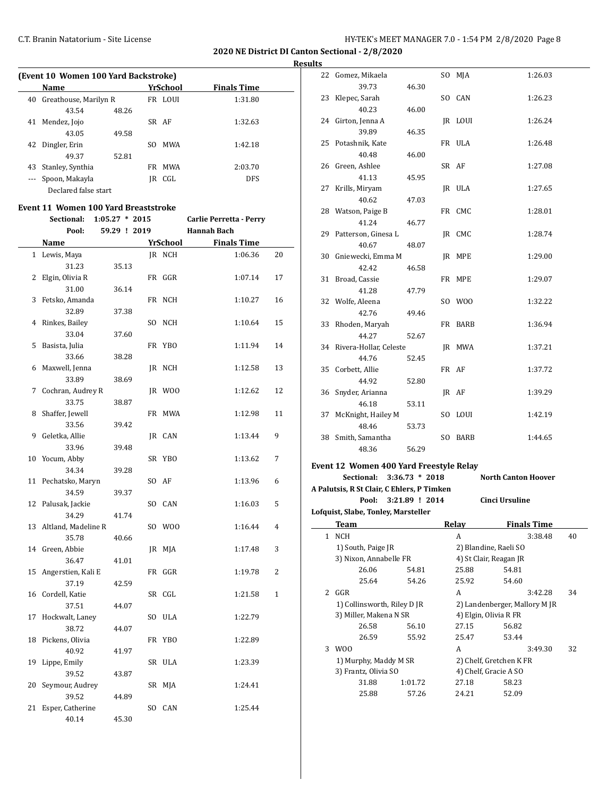**2020 NE District DI Canton Sectional - 2/8/2020**

**Results**

 $\overline{a}$ 

|     | (Event 10 Women 100 Yard Backstroke) |       |     |          |                    |  |  |  |  |
|-----|--------------------------------------|-------|-----|----------|--------------------|--|--|--|--|
|     | Name                                 |       |     | YrSchool | <b>Finals Time</b> |  |  |  |  |
| 40  | Greathouse, Marilyn R                |       |     | FR LOUI  | 1:31.80            |  |  |  |  |
|     | 43.54                                | 48.26 |     |          |                    |  |  |  |  |
| 41  | Mendez, Jojo                         |       |     | SR AF    | 1:32.63            |  |  |  |  |
|     | 43.05                                | 49.58 |     |          |                    |  |  |  |  |
| 42  | Dingler, Erin                        |       | SO. | MWA      | 1:42.18            |  |  |  |  |
|     | 49.37                                | 52.81 |     |          |                    |  |  |  |  |
| 43  | Stanley, Synthia                     |       | FR  | MWA      | 2:03.70            |  |  |  |  |
| --- | Spoon, Makayla                       |       | IR  | CGL      | <b>DFS</b>         |  |  |  |  |
|     | Declared false start                 |       |     |          |                    |  |  |  |  |

#### **Event 11 Women 100 Yard Breaststroke**

|              | Sectional:          | $1:05.27 * 2015$ |          | Carlie Perretta - Perry |                |
|--------------|---------------------|------------------|----------|-------------------------|----------------|
|              | Pool:               | 59.29 ! 2019     |          | <b>Hannah Bach</b>      |                |
|              | Name                |                  | YrSchool | <b>Finals Time</b>      |                |
| $\mathbf{1}$ | Lewis, Maya         |                  | IR NCH   | 1:06.36                 | 20             |
|              | 31.23               | 35.13            |          |                         |                |
| 2            | Elgin, Olivia R     |                  | FR GGR   | 1:07.14                 | 17             |
|              | 31.00               | 36.14            |          |                         |                |
| 3            | Fetsko, Amanda      |                  | FR NCH   | 1:10.27                 | 16             |
|              | 32.89               | 37.38            |          |                         |                |
| 4            | Rinkes, Bailey      |                  | SO NCH   | 1:10.64                 | 15             |
|              | 33.04               | 37.60            |          |                         |                |
| 5            | Basista, Julia      |                  | FR YBO   | 1:11.94                 | 14             |
|              | 33.66               | 38.28            |          |                         |                |
| 6            | Maxwell, Jenna      |                  | JR NCH   | 1:12.58                 | 13             |
|              | 33.89               | 38.69            |          |                         |                |
| 7            | Cochran, Audrey R   |                  | JR WOO   | 1:12.62                 | 12             |
|              | 33.75               | 38.87            |          |                         |                |
| 8            | Shaffer, Jewell     |                  | FR MWA   | 1:12.98                 | 11             |
|              | 33.56               | 39.42            |          |                         |                |
| 9            | Geletka, Allie      |                  | IR CAN   | 1:13.44                 | 9              |
|              | 33.96               | 39.48            |          |                         |                |
| 10           | Yocum, Abby         |                  | SR YBO   | 1:13.62                 | 7              |
|              | 34.34               | 39.28            |          |                         |                |
| 11           | Pechatsko, Maryn    |                  | SO AF    | 1:13.96                 | 6              |
|              | 34.59               | 39.37            |          |                         |                |
| 12           | Palusak, Jackie     |                  | SO CAN   | 1:16.03                 | 5              |
|              | 34.29               | 41.74            |          |                         |                |
| 13           | Altland, Madeline R |                  | SO WOO   | 1:16.44                 | 4              |
|              | 35.78               | 40.66            |          |                         |                |
| 14           | Green, Abbie        |                  | JR MJA   | 1:17.48                 | 3              |
|              | 36.47               | 41.01            |          |                         |                |
| 15           | Angerstien, Kali E  |                  | FR GGR   | 1:19.78                 | $\overline{2}$ |
|              | 37.19               | 42.59            |          |                         |                |
| 16           | Cordell, Katie      |                  | SR CGL   | 1:21.58                 | $\mathbf{1}$   |
|              | 37.51               | 44.07            |          |                         |                |
| 17           | Hockwalt, Laney     |                  | SO ULA   | 1:22.79                 |                |
|              | 38.72               | 44.07            |          |                         |                |
| 18           | Pickens, Olivia     |                  | FR YBO   | 1:22.89                 |                |
|              | 40.92               | 41.97            |          |                         |                |
| 19           | Lippe, Emily        |                  | SR ULA   | 1:23.39                 |                |
|              | 39.52               | 43.87            |          |                         |                |
| 20           | Seymour, Audrey     |                  | SR MJA   | 1:24.41                 |                |
|              | 39.52               | 44.89            |          |                         |                |
| 21           | Esper, Catherine    |                  | SO CAN   | 1:25.44                 |                |
|              | 40.14               | 45.30            |          |                         |                |

| 22           | Gomez, Mikaela                             |                |       | SO MJA  | 1:26.03                    |    |
|--------------|--------------------------------------------|----------------|-------|---------|----------------------------|----|
|              | 39.73                                      | 46.30          |       |         |                            |    |
| 23           | Klepec, Sarah                              |                |       | SO CAN  | 1:26.23                    |    |
|              | 40.23                                      | 46.00          |       |         |                            |    |
| 24           | Girton, Jenna A                            |                |       | IR LOUI | 1:26.24                    |    |
|              | 39.89                                      | 46.35          |       |         |                            |    |
|              | 25 Potashnik, Kate                         |                |       | FR ULA  | 1:26.48                    |    |
|              | 40.48                                      | 46.00          |       |         |                            |    |
|              | 26 Green, Ashlee                           |                | SR AF |         | 1:27.08                    |    |
|              | 41.13                                      | 45.95          |       |         |                            |    |
| 27           | Krills, Miryam                             |                |       | IR ULA  | 1:27.65                    |    |
|              | 40.62                                      | 47.03          |       |         |                            |    |
|              | 28 Watson, Paige B                         |                |       | FR CMC  | 1:28.01                    |    |
|              | 41.24                                      | 46.77          |       |         |                            |    |
| 29           | Patterson, Ginesa L                        |                |       | JR CMC  | 1:28.74                    |    |
|              | 40.67                                      | 48.07          |       |         |                            |    |
|              | 30 Gniewecki, Emma M                       |                |       | JR MPE  | 1:29.00                    |    |
|              | 42.42                                      | 46.58          |       |         |                            |    |
| 31           | Broad, Cassie                              |                |       | FR MPE  | 1:29.07                    |    |
|              | 41.28                                      | 47.79          |       |         |                            |    |
|              | 32 Wolfe, Aleena                           |                |       | SO WOO  | 1:32.22                    |    |
|              | 42.76                                      | 49.46          |       |         |                            |    |
| 33           | Rhoden, Maryah                             |                |       | FR BARB | 1:36.94                    |    |
|              | 44.27                                      | 52.67          |       |         |                            |    |
|              | 34 Rivera-Hollar, Celeste                  |                |       | IR MWA  | 1:37.21                    |    |
|              | 44.76                                      | 52.45          |       |         |                            |    |
|              | 35 Corbett, Allie                          |                | FR AF |         | 1:37.72                    |    |
|              | 44.92                                      | 52.80          |       |         |                            |    |
| 36           | Snyder, Arianna                            |                |       | JR AF   | 1:39.29                    |    |
|              | 46.18                                      | 53.11          |       |         |                            |    |
| 37           | McKnight, Hailey M                         |                |       | SO LOUI | 1:42.19                    |    |
|              | 48.46                                      | 53.73          |       |         |                            |    |
|              | 38 Smith, Samantha                         |                |       | SO BARB | 1:44.65                    |    |
|              | 48.36                                      | 56.29          |       |         |                            |    |
|              | Event 12 Women 400 Yard Freestyle Relay    |                |       |         |                            |    |
|              | Sectional: 3:36.73 * 2018                  |                |       |         | <b>North Canton Hoover</b> |    |
|              | A Palutsis, R St Clair, C Ehlers, P Timken |                |       |         |                            |    |
|              | Pool:                                      | 3:21.89 ! 2014 |       |         | Cinci Ursuline             |    |
|              | Lofquist, Slabe, Tonley, Marsteller        |                |       |         |                            |    |
|              | <u>Team</u>                                |                |       | Relay   | <b>Finals Time</b>         |    |
| $\mathbf{1}$ | <b>NCH</b>                                 |                |       | A       | 3:38.48                    | 40 |
|              | 1) South, Paige JR                         |                |       |         | 2) Blandine, Raeli SO      |    |
|              | 3) Nixon, Annabelle FR                     |                |       |         | 4) St Clair, Reagan JR     |    |
|              | 26.06                                      | 54.81          |       | 25.88   | 54.81                      |    |
|              | 25.64                                      | 54.26          |       | 25.92   | 54.60                      |    |
|              | 2 GGR                                      |                |       | A       | 3:42.28                    | 34 |

1) Collinsworth, Riley D JR 2) Landenberger, Mallory M JR

3) Miller, Makena N SR 4) Elgin, Olivia R FR 26.58 56.10 27.15 56.82 26.59 55.92 25.47 53.44 3 WOO A 3:49.30 32 1) Murphy, Maddy M SR 2) Chelf, Gretchen K FR 3) Frantz, Olivia SO 4) Chelf, Gracie A SO 31.88 1:01.72 27.18 58.23 25.88 57.26 24.21 52.09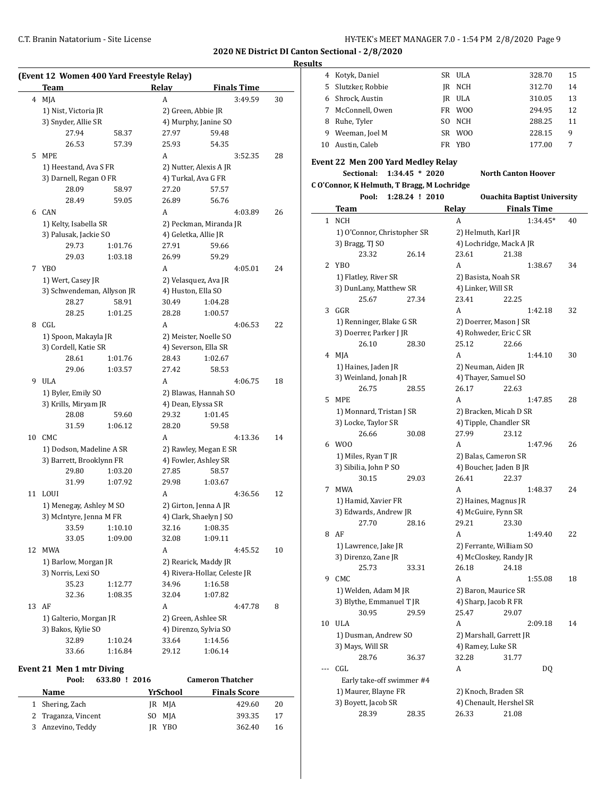#### **Results**

|    | <b>Team</b>                                |         | Relay                 | <b>Finals Time</b>                                   |    |  |  |  |
|----|--------------------------------------------|---------|-----------------------|------------------------------------------------------|----|--|--|--|
|    | 4 MJA                                      |         | A                     | 3:49.59                                              | 30 |  |  |  |
|    | 1) Nist, Victoria JR                       |         |                       | 2) Green, Abbie JR                                   |    |  |  |  |
|    | 3) Snyder, Allie SR                        |         |                       | 4) Murphy, Janine SO                                 |    |  |  |  |
|    | 27.94                                      | 58.37   | 27.97                 | 59.48                                                |    |  |  |  |
|    | 26.53                                      | 57.39   | 25.93                 | 54.35                                                |    |  |  |  |
| 5  | <b>MPE</b>                                 |         | A                     | 3:52.35                                              | 28 |  |  |  |
|    | 1) Heestand, Ava S FR                      |         |                       | 2) Nutter, Alexis A JR                               |    |  |  |  |
|    | 3) Darnell, Regan O FR                     |         |                       | 4) Turkal, Ava G FR                                  |    |  |  |  |
|    | 28.09                                      | 58.97   | 27.20                 | 57.57                                                |    |  |  |  |
|    | 28.49                                      | 59.05   | 26.89                 | 56.76                                                |    |  |  |  |
| 6  | CAN                                        |         | A                     | 4:03.89                                              | 26 |  |  |  |
|    | 1) Kelty, Isabella SR                      |         |                       | 2) Peckman, Miranda JR                               |    |  |  |  |
|    | 3) Palusak, Jackie SO                      |         |                       | 4) Geletka, Allie JR                                 |    |  |  |  |
|    | 29.73                                      | 1:01.76 | 27.91                 | 59.66                                                |    |  |  |  |
|    | 29.03                                      | 1:03.18 | 26.99                 | 59.29                                                |    |  |  |  |
|    |                                            |         | A                     |                                                      |    |  |  |  |
| 7  | YB <sub>0</sub>                            |         |                       | 4:05.01                                              | 24 |  |  |  |
|    | 1) Wert, Casey JR                          |         |                       | 2) Velasquez, Ava JR<br>4) Huston, Ella SO           |    |  |  |  |
|    | 3) Schwendeman, Allyson JR                 |         |                       |                                                      |    |  |  |  |
|    | 28.27                                      | 58.91   | 30.49                 | 1:04.28                                              |    |  |  |  |
|    | 28.25                                      | 1:01.25 | 28.28                 | 1:00.57                                              |    |  |  |  |
| 8  | CGL                                        |         | A                     | 4:06.53                                              | 22 |  |  |  |
|    | 1) Spoon, Makayla JR                       |         |                       | 2) Meister, Noelle SO                                |    |  |  |  |
|    | 3) Cordell, Katie SR                       |         |                       | 4) Severson, Ella SR                                 |    |  |  |  |
|    | 28.61                                      | 1:01.76 | 28.43                 | 1:02.67                                              |    |  |  |  |
|    | 29.06                                      | 1:03.57 | 27.42                 | 58.53                                                |    |  |  |  |
| 9  | ULA                                        |         | A                     | 4:06.75                                              | 18 |  |  |  |
|    | 1) Byler, Emily SO                         |         |                       | 2) Blawas, Hannah SO                                 |    |  |  |  |
|    | 3) Krills, Miryam JR                       |         | 4) Dean, Elyssa SR    |                                                      |    |  |  |  |
|    | 28.08                                      | 59.60   | 29.32                 | 1:01.45                                              |    |  |  |  |
|    | 31.59                                      | 1:06.12 | 28.20                 | 59.58                                                |    |  |  |  |
| 10 | CMC                                        |         | A                     | 4:13.36                                              | 14 |  |  |  |
|    | 1) Dodson, Madeline A SR                   |         | 2) Rawley, Megan E SR |                                                      |    |  |  |  |
|    | 3) Barrett, Brooklynn FR                   |         |                       | 4) Fowler, Ashley SR                                 |    |  |  |  |
|    | 29.80                                      | 1:03.20 | 27.85                 | 58.57                                                |    |  |  |  |
|    | 31.99                                      | 1:07.92 | 29.98                 | 1:03.67                                              |    |  |  |  |
| 11 | <b>LOUI</b>                                |         | А                     | 4:36.56                                              | 12 |  |  |  |
|    | 1) Menegay, Ashley M SO                    |         |                       | 2) Girton, Jenna A JR                                |    |  |  |  |
|    | 3) McIntyre, Jenna M FR                    |         |                       | 4) Clark, Shaelyn J SO                               |    |  |  |  |
|    | 33.59                                      | 1:10.10 | 32.16                 | 1:08.35                                              |    |  |  |  |
|    | 33.05                                      | 1:09.00 | 32.08                 | 1:09.11                                              |    |  |  |  |
| 12 | <b>MWA</b>                                 |         | А                     | 4:45.52                                              | 10 |  |  |  |
|    |                                            |         |                       |                                                      |    |  |  |  |
|    | 1) Barlow, Morgan JR<br>3) Norris, Lexi SO |         |                       | 2) Rearick, Maddy JR<br>4) Rivera-Hollar, Celeste JR |    |  |  |  |
|    | 35.23                                      | 1:12.77 | 34.96                 | 1:16.58                                              |    |  |  |  |
|    | 32.36                                      | 1:08.35 | 32.04                 | 1:07.82                                              |    |  |  |  |
|    | AF                                         |         | А                     | 4:47.78                                              | 8  |  |  |  |
|    |                                            |         |                       |                                                      |    |  |  |  |
| 13 |                                            |         |                       | 2) Green, Ashlee SR                                  |    |  |  |  |
|    | 1) Galterio, Morgan JR                     |         |                       |                                                      |    |  |  |  |
|    | 3) Bakos, Kylie SO<br>32.89                | 1:10.24 | 33.64                 | 4) Direnzo, Sylvia SO<br>1:14.56                     |    |  |  |  |

#### **Event 21 Men 1 mtr Diving**

| Pool:               | 633.80 ! 2016 |          | <b>Cameron Thatcher</b> |    |
|---------------------|---------------|----------|-------------------------|----|
| Name                |               | YrSchool | <b>Finals Score</b>     |    |
| 1 Shering, Zach     |               | JR MJA   | 429.60                  | 20 |
| 2 Traganza, Vincent | SO MJA        |          | 393.35                  | 17 |
| 3 Anzevino, Teddy   |               | IR YBO   | 362.40                  | 16 |

| æ. |                  |     |                 |        |    |
|----|------------------|-----|-----------------|--------|----|
| 4  | Kotyk, Daniel    |     | SR ULA          | 328.70 | 15 |
| 5  | Slutzker, Robbie | IR  | NCH             | 312.70 | 14 |
| 6. | Shrock, Austin   |     | JR ULA          | 310.05 | 13 |
|    | McConnell, Owen  | FR. | W <sub>00</sub> | 294.95 | 12 |
| 8  | Ruhe, Tyler      | SO. | NCH             | 288.25 | 11 |
| 9  | Weeman, Joel M   |     | SR WOO          | 228.15 | 9  |
| 10 | Austin, Caleb    | FR  | YBO             | 177.00 |    |
|    |                  |     |                 |        |    |

#### **Event 22 Men 200 Yard Medley Relay**

**Sectional: 1:34.45 \* 2020 North Canton Hoover**

**C O'Connor, K Helmuth, T Bragg, M Lochridge**

|    | Pool:<br>1:28.24 ! 2010     |                      | <b>Ouachita Baptist University</b> |    |  |  |  |
|----|-----------------------------|----------------------|------------------------------------|----|--|--|--|
|    | Team                        | Relay                | <b>Finals Time</b>                 |    |  |  |  |
| 1  | <b>NCH</b>                  | A                    | 1:34.45*                           | 40 |  |  |  |
|    | 1) O'Connor, Christopher SR | 2) Helmuth, Karl JR  |                                    |    |  |  |  |
|    | 3) Bragg, TJ SO             |                      | 4) Lochridge, Mack A JR            |    |  |  |  |
|    | 23.32<br>26.14              | 23.61                | 21.38                              |    |  |  |  |
| 2  | YB <sub>0</sub>             | A                    | 1:38.67                            | 34 |  |  |  |
|    | 1) Flatley, River SR        | 2) Basista, Noah SR  |                                    |    |  |  |  |
|    | 3) DunLany, Matthew SR      | 4) Linker, Will SR   |                                    |    |  |  |  |
|    | 25.67<br>27.34              | 23.41                | 22.25                              |    |  |  |  |
| 3  | GGR                         | A                    | 1:42.18                            | 32 |  |  |  |
|    | 1) Renninger, Blake G SR    |                      | 2) Doerrer, Mason J SR             |    |  |  |  |
|    | 3) Doerrer, Parker J JR     |                      | 4) Rohweder, Eric C SR             |    |  |  |  |
|    | 26.10<br>28.30              | 25.12                | 22.66                              |    |  |  |  |
| 4  | MJA                         | A                    | 1:44.10                            | 30 |  |  |  |
|    |                             |                      |                                    |    |  |  |  |
|    | 1) Haines, Jaden JR         | 2) Neuman, Aiden JR  |                                    |    |  |  |  |
|    | 3) Weinland, Jonah JR       | 4) Thayer, Samuel SO |                                    |    |  |  |  |
|    | 26.75<br>28.55              | 26.17                | 22.63                              |    |  |  |  |
| 5  | <b>MPE</b>                  | A                    | 1:47.85                            | 28 |  |  |  |
|    | 1) Monnard, Tristan J SR    |                      | 2) Bracken, Micah D SR             |    |  |  |  |
|    | 3) Locke, Taylor SR         |                      | 4) Tipple, Chandler SR             |    |  |  |  |
|    | 26.66<br>30.08              | 27.99                | 23.12                              |    |  |  |  |
| 6  | W <sub>0</sub>              | A                    | 1:47.96                            | 26 |  |  |  |
|    | 1) Miles, Ryan T JR         | 2) Balas, Cameron SR |                                    |    |  |  |  |
|    | 3) Sibilia, John P SO       |                      | 4) Boucher, Jaden B JR             |    |  |  |  |
|    | 30.15<br>29.03              | 26.41                | 22.37                              |    |  |  |  |
| 7  | <b>MWA</b>                  | A                    | 1:48.37                            | 24 |  |  |  |
|    | 1) Hamid, Xavier FR         | 2) Haines, Magnus JR |                                    |    |  |  |  |
|    | 3) Edwards, Andrew JR       | 4) McGuire, Fynn SR  |                                    |    |  |  |  |
|    | 27.70<br>28.16              | 29.21                | 23.30                              |    |  |  |  |
| 8  | AF                          | A                    | 1:49.40                            | 22 |  |  |  |
|    | 1) Lawrence, Jake JR        |                      | 2) Ferrante, William SO            |    |  |  |  |
|    | 3) Direnzo, Zane JR         |                      | 4) McCloskey, Randy JR             |    |  |  |  |
|    | 25.73<br>33.31              | 26.18                | 24.18                              |    |  |  |  |
| 9  | CMC                         | A                    | 1:55.08                            | 18 |  |  |  |
|    | 1) Welden, Adam M JR        | 2) Baron, Maurice SR |                                    |    |  |  |  |
|    | 3) Blythe, Emmanuel T JR    | 4) Sharp, Jacob R FR |                                    |    |  |  |  |
|    | 30.95<br>29.59              | 25.47                | 29.07                              |    |  |  |  |
| 10 | <b>ULA</b>                  | A                    | 2:09.18                            | 14 |  |  |  |
|    | 1) Dusman, Andrew SO        |                      | 2) Marshall, Garrett JR            |    |  |  |  |
|    | 3) Mays, Will SR            | 4) Ramey, Luke SR    |                                    |    |  |  |  |
|    | 28.76<br>36.37              | 32.28                | 31.77                              |    |  |  |  |
|    | CGL                         | A                    | DQ                                 |    |  |  |  |
|    | Early take-off swimmer #4   |                      |                                    |    |  |  |  |
|    | 1) Maurer, Blayne FR        | 2) Knoch, Braden SR  |                                    |    |  |  |  |
|    | 3) Boyett, Jacob SR         |                      | 4) Chenault, Hershel SR            |    |  |  |  |
|    | 28.39<br>28.35              | 26.33                | 21.08                              |    |  |  |  |
|    |                             |                      |                                    |    |  |  |  |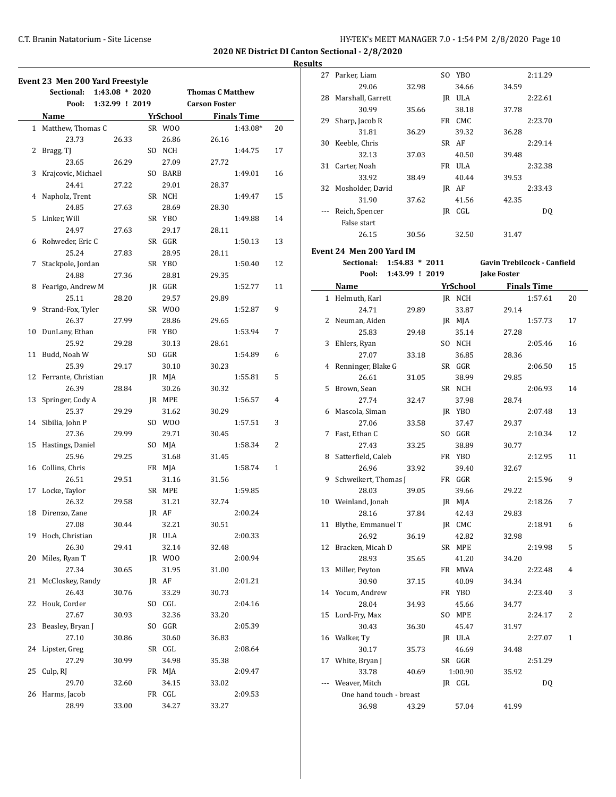27 Parker, Liam SO YBO 2:11.29

**2020 NE District DI Canton Sectional - 2/8/2020**

|              | Event 23 Men 200 Yard Freestyle<br>Sectional: | $1:43.08 * 2020$ |                 | <b>Thomas C Matthew</b> |                    |              |
|--------------|-----------------------------------------------|------------------|-----------------|-------------------------|--------------------|--------------|
|              | Pool:                                         | 1:32.99 ! 2019   |                 | <b>Carson Foster</b>    |                    |              |
|              | Name                                          |                  | <u>YrSchool</u> |                         | <b>Finals Time</b> |              |
| $\mathbf{1}$ | Matthew, Thomas C                             |                  | SR WOO          |                         | 1:43.08*           | 20           |
|              | 23.73                                         | 26.33            | 26.86           | 26.16                   |                    |              |
| 2            |                                               |                  | SO NCH          |                         |                    | 17           |
|              | Bragg, TJ<br>23.65                            |                  |                 |                         | 1:44.75            |              |
|              |                                               | 26.29            | 27.09           | 27.72                   |                    |              |
| 3            | Krajcovic, Michael                            |                  | SO BARB         |                         | 1:49.01            | 16           |
|              | 24.41                                         | 27.22            | 29.01           | 28.37                   |                    |              |
| 4            | Napholz, Trent                                |                  | SR NCH          |                         | 1:49.47            | 15           |
|              | 24.85                                         | 27.63            | 28.69           | 28.30                   |                    |              |
| 5            | Linker, Will                                  |                  | SR YBO          |                         | 1:49.88            | 14           |
|              | 24.97                                         | 27.63            | 29.17           | 28.11                   |                    |              |
| 6            | Rohweder, Eric C                              |                  | SR GGR          |                         | 1:50.13            | 13           |
|              | 25.24                                         | 27.83            | 28.95           | 28.11                   |                    |              |
| 7            | Stackpole, Jordan                             |                  | SR YBO          |                         | 1:50.40            | 12           |
|              | 24.88                                         | 27.36            | 28.81           | 29.35                   |                    |              |
| 8            | Fearigo, Andrew M                             |                  | JR GGR          |                         | 1:52.77            | 11           |
|              | 25.11                                         | 28.20            | 29.57           | 29.89                   |                    |              |
| 9            | Strand-Fox, Tyler                             |                  | SR WOO          |                         | 1:52.87            | 9            |
|              | 26.37                                         | 27.99            | 28.86           | 29.65                   |                    |              |
| 10           | DunLany, Ethan                                |                  | FR YBO          |                         | 1:53.94            | 7            |
|              | 25.92                                         | 29.28            | 30.13           | 28.61                   |                    |              |
| 11           | Budd, Noah W                                  |                  | SO GGR          |                         | 1:54.89            | 6            |
|              | 25.39                                         | 29.17            | 30.10           | 30.23                   |                    |              |
| 12           | Ferrante, Christian                           |                  | JR MJA          |                         | 1:55.81            | 5            |
|              | 26.39                                         | 28.84            | 30.26           | 30.32                   |                    |              |
| 13           | Springer, Cody A                              |                  | JR MPE          |                         | 1:56.57            | 4            |
|              | 25.37                                         | 29.29            | 31.62           |                         |                    |              |
|              |                                               |                  |                 | 30.29                   |                    |              |
|              | 14 Sibilia, John P                            |                  | SO WOO          |                         | 1:57.51            | 3            |
|              | 27.36                                         | 29.99            | 29.71           | 30.45                   |                    |              |
| 15           | Hastings, Daniel                              |                  | SO MJA          |                         | 1:58.34            | 2            |
|              | 25.96                                         | 29.25            | 31.68           | 31.45                   |                    |              |
|              | 16 Collins, Chris                             |                  | FR MJA          |                         | 1:58.74            | $\mathbf{1}$ |
|              | 26.51                                         | 29.51            | 31.16           | 31.56                   |                    |              |
| 17           | Locke, Taylor                                 |                  | SR MPE          |                         | 1:59.85            |              |
|              | 26.32                                         | 29.58            | 31.21           | 32.74                   |                    |              |
| 18           | Direnzo, Zane                                 |                  | JR AF           |                         | 2:00.24            |              |
|              | 27.08                                         | 30.44            | 32.21           | 30.51                   |                    |              |
| 19           | Hoch, Christian                               |                  | JR ULA          |                         | 2:00.33            |              |
|              | 26.30                                         | 29.41            | 32.14           | 32.48                   |                    |              |
| 20           | Miles, Ryan T                                 |                  | JR WOO          |                         | 2:00.94            |              |
|              | 27.34                                         | 30.65            | 31.95           | 31.00                   |                    |              |
| 21           | McCloskey, Randy                              |                  | JR AF           |                         | 2:01.21            |              |
|              | 26.43                                         | 30.76            | 33.29           | 30.73                   |                    |              |
| 22           | Houk, Corder                                  |                  | SO CGL          |                         | 2:04.16            |              |
|              | 27.67                                         | 30.93            | 32.36           | 33.20                   |                    |              |
| 23           | Beasley, Bryan J                              |                  | SO GGR          |                         | 2:05.39            |              |
|              | 27.10                                         | 30.86            | 30.60           | 36.83                   |                    |              |
| 24           | Lipster, Greg                                 |                  | SR CGL          |                         | 2:08.64            |              |
|              | 27.29                                         | 30.99            | 34.98           | 35.38                   |                    |              |
| 25           | Culp, RJ                                      |                  | FR MJA          |                         |                    |              |
|              | 29.70                                         |                  | 34.15           |                         | 2:09.47            |              |
|              |                                               | 32.60            |                 | 33.02                   |                    |              |
| 26           | Harms, Jacob                                  |                  | FR CGL          |                         | 2:09.53            |              |
|              | 28.99                                         | 33.00            | 34.27           | 33.27                   |                    |              |

|     | 29.06                    | 32.98            | 34.66           | 34.59                       |                    |    |
|-----|--------------------------|------------------|-----------------|-----------------------------|--------------------|----|
|     | 28 Marshall, Garrett     |                  | JR ULA          |                             | 2:22.61            |    |
|     | 30.99                    | 35.66            | 38.18           | 37.78                       |                    |    |
| 29  | Sharp, Jacob R           |                  | FR CMC          |                             | 2:23.70            |    |
|     | 31.81                    | 36.29            | 39.32           | 36.28                       |                    |    |
| 30  | Keeble, Chris            |                  | SR AF           |                             | 2:29.14            |    |
|     | 32.13                    | 37.03            | 40.50           | 39.48                       |                    |    |
| 31  | Carter, Noah             |                  | FR ULA          |                             | 2:32.38            |    |
|     | 33.92                    | 38.49            | 40.44           | 39.53                       |                    |    |
| 32  | Mosholder, David         |                  | JR AF           |                             | 2:33.43            |    |
|     | 31.90                    | 37.62            | 41.56           | 42.35                       |                    |    |
| --- | Reich, Spencer           |                  | JR CGL          |                             | DQ                 |    |
|     | False start              |                  |                 |                             |                    |    |
|     | 26.15                    | 30.56            | 32.50           | 31.47                       |                    |    |
|     |                          |                  |                 |                             |                    |    |
|     | Event 24 Men 200 Yard IM |                  |                 |                             |                    |    |
|     | Sectional:               | $1:54.83 * 2011$ |                 | Gavin Trebilcock - Canfield |                    |    |
|     | Pool:                    | 1:43.99 ! 2019   |                 | <b>Jake Foster</b>          |                    |    |
|     | Name                     |                  | <b>YrSchool</b> |                             | <b>Finals Time</b> |    |
|     | 1 Helmuth, Karl          |                  | JR NCH          |                             | 1:57.61            | 20 |
|     | 24.71                    | 29.89            | 33.87           | 29.14                       |                    |    |
| 2   | Neuman, Aiden            |                  | JR MJA          |                             | 1:57.73            | 17 |
|     | 25.83                    | 29.48            | 35.14           | 27.28                       |                    |    |
| 3   | Ehlers, Ryan             |                  | SO NCH          |                             | 2:05.46            | 16 |
|     | 27.07                    | 33.18            | 36.85           | 28.36                       |                    |    |
| 4   | Renninger, Blake G       |                  | SR GGR          |                             | 2:06.50            | 15 |
|     | 26.61                    | 31.05            | 38.99           | 29.85                       |                    |    |
| 5   | Brown, Sean              |                  | SR NCH          |                             | 2:06.93            | 14 |
|     | 27.74                    | 32.47            | 37.98           | 28.74                       |                    |    |
| 6   | Mascola, Siman           |                  | JR YBO          |                             | 2:07.48            | 13 |
|     | 27.06                    | 33.58            | 37.47           | 29.37                       |                    |    |
| 7   | Fast, Ethan C            |                  | SO GGR          |                             | 2:10.34            | 12 |
|     | 27.43                    | 33.25            | 38.89           | 30.77                       |                    |    |
| 8   | Satterfield, Caleb       |                  | FR YBO          |                             | 2:12.95            | 11 |
|     | 26.96                    | 33.92            | 39.40           | 32.67                       |                    |    |
| 9   | Schweikert, Thomas J     |                  | FR GGR          |                             | 2:15.96            | 9  |
|     | 28.03                    | 39.05            | 39.66           | 29.22                       |                    |    |
|     | 10 Weinland, Jonah       |                  | JR MJA          |                             | 2:18.26            | 7  |
|     | 28.16                    | 37.84            | 42.43           | 29.83                       |                    |    |
|     | 11 Blythe, Emmanuel T    |                  | IR CMC          |                             | 2:18.91            | 6  |
|     | 26.92                    | 36.19            | 42.82           | 32.98                       |                    |    |
|     | 12 Bracken, Micah D      |                  | SR MPE          |                             | 2:19.98            | 5  |
|     | 28.93                    | 35.65            | 41.20           |                             |                    |    |
| 13  | Miller, Peyton           |                  | FR MWA          | 34.20                       | 2:22.48            | 4  |
|     | 30.90                    |                  |                 |                             |                    |    |
|     |                          | 37.15            | 40.09           | 34.34                       |                    | 3  |
| 14  | Yocum, Andrew            |                  | FR YBO          |                             | 2:23.40            |    |
|     | 28.04                    | 34.93            | 45.66           | 34.77                       |                    |    |
| 15  | Lord-Fry, Max            |                  | SO MPE          |                             | 2:24.17            | 2  |
|     | 30.43                    | 36.30            | 45.47           | 31.97                       |                    |    |
| 16  | Walker, Ty               |                  | JR ULA          |                             | 2:27.07            | 1  |
|     | 30.17                    | 35.73            | 46.69           | 34.48                       |                    |    |
| 17  | White, Bryan J           |                  | SR GGR          |                             | 2:51.29            |    |
|     | 33.78                    | 40.69            | 1:00.90         | 35.92                       |                    |    |
| --- | Weaver, Mitch            |                  | JR CGL          |                             | DQ                 |    |
|     | One hand touch - breast  |                  |                 |                             |                    |    |
|     | 36.98                    | 43.29            | 57.04           | 41.99                       |                    |    |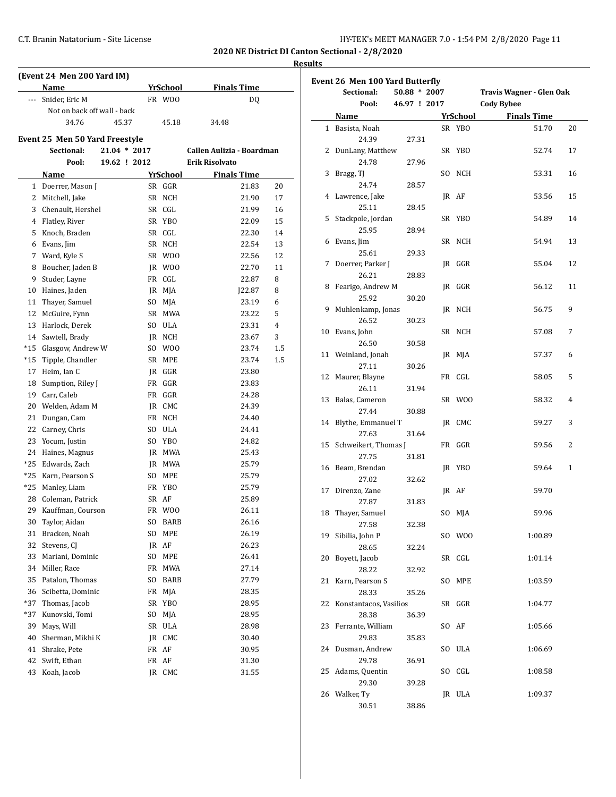| (Event 24 Men 200 Yard IM) |                                |  |                |     |                 |                           |         |  |  |
|----------------------------|--------------------------------|--|----------------|-----|-----------------|---------------------------|---------|--|--|
|                            | <b>Name</b>                    |  |                |     | YrSchool        | <b>Finals Time</b>        |         |  |  |
|                            | Snider, Eric M                 |  |                |     | FR WOO          | DQ                        |         |  |  |
|                            | Not on back off wall - back    |  |                |     |                 |                           |         |  |  |
|                            | 34.76                          |  | 45.37          |     | 45.18           | 34.48                     |         |  |  |
|                            | Event 25 Men 50 Yard Freestyle |  |                |     |                 |                           |         |  |  |
|                            | Sectional:                     |  | $21.04 * 2017$ |     |                 | Callen Aulizia - Boardman |         |  |  |
|                            | Pool:                          |  | 19.62 ! 2012   |     |                 | Erik Risolvato            |         |  |  |
|                            | Name                           |  |                |     | YrSchool        | <b>Finals Time</b>        |         |  |  |
|                            | 1 Doerrer, Mason J             |  |                |     | SR GGR          | 21.83                     | 20      |  |  |
|                            | 2 Mitchell, Jake               |  |                | SR  | <b>NCH</b>      | 21.90                     | 17      |  |  |
|                            | 3 Chenault, Hershel            |  |                |     | SR CGL          | 21.99                     | 16      |  |  |
|                            | 4 Flatley, River               |  |                |     | SR YBO          | 22.09                     | 15      |  |  |
|                            | 5 Knoch, Braden                |  |                |     | SR CGL          | 22.30                     | 14      |  |  |
|                            | 6 Evans, Jim                   |  |                |     | SR NCH          | 22.54                     | 13      |  |  |
|                            | 7 Ward, Kyle S                 |  |                |     | SR WOO          | 22.56                     | 12      |  |  |
|                            | 8 Boucher, Jaden B             |  |                |     | JR WOO          | 22.70                     | 11      |  |  |
| 9                          | Studer, Layne                  |  |                |     | FR CGL          | 22.87                     | 8       |  |  |
|                            | 10 Haines, Jaden               |  |                |     | IR MJA          | J22.87                    | 8       |  |  |
|                            | 11 Thayer, Samuel              |  |                | SO  | MJA             | 23.19                     | 6       |  |  |
|                            | 12 McGuire, Fynn               |  |                |     | SR MWA          | 23.22                     | 5       |  |  |
|                            | 13 Harlock, Derek              |  |                | SO  | <b>ULA</b>      | 23.31                     | 4       |  |  |
|                            | 14 Sawtell, Brady              |  |                |     | JR NCH          | 23.67                     | 3       |  |  |
|                            | *15 Glasgow, Andrew W          |  |                |     | SO WOO          | 23.74                     | 1.5     |  |  |
|                            | *15 Tipple, Chandler           |  |                |     | SR MPE          | 23.74                     | $1.5\,$ |  |  |
|                            | 17 Heim, Ian C                 |  |                |     | JR GGR          | 23.80                     |         |  |  |
| 18                         | Sumption, Riley J              |  |                |     | FR GGR          | 23.83                     |         |  |  |
|                            | 19 Carr, Caleb                 |  |                |     | FR GGR          | 24.28                     |         |  |  |
|                            | 20 Welden, Adam M              |  |                |     | JR CMC          | 24.39                     |         |  |  |
|                            | 21 Dungan, Cam                 |  |                |     | FR NCH          | 24.40                     |         |  |  |
|                            | 22 Carney, Chris               |  |                | SO. | ULA             | 24.41                     |         |  |  |
| 23                         | Yocum, Justin                  |  |                | SO  | YB <sub>0</sub> | 24.82                     |         |  |  |
|                            | 24 Haines, Magnus              |  |                |     | JR MWA          | 25.43                     |         |  |  |
|                            | *25 Edwards, Zach              |  |                | JR  | MWA             | 25.79                     |         |  |  |
|                            | *25 Karn, Pearson S            |  |                | SO  | MPE             | 25.79                     |         |  |  |
|                            | *25 Manley, Liam               |  |                |     | FR YBO          | 25.79                     |         |  |  |
| 28                         | Coleman, Patrick               |  |                | SR  | AF              | 25.89                     |         |  |  |
|                            | 29 Kauffman, Courson           |  |                |     | FR WOO          | 26.11                     |         |  |  |
|                            | 30 Taylor, Aidan               |  |                |     | SO BARB         | 26.16                     |         |  |  |
|                            | 31 Bracken, Noah               |  |                | SO. | MPE             | 26.19                     |         |  |  |
| 32                         | Stevens, CJ                    |  |                |     | JR AF           | 26.23                     |         |  |  |
| 33                         | Mariani, Dominic               |  |                | SO  | MPE             | 26.41                     |         |  |  |
| 34                         | Miller, Race                   |  |                | FR  | MWA             | 27.14                     |         |  |  |
| 35                         | Patalon, Thomas                |  |                | SO  | BARB            | 27.79                     |         |  |  |
| 36                         | Scibetta, Dominic              |  |                | FR  | MJA             | 28.35                     |         |  |  |
| *37                        | Thomas, Jacob                  |  |                | SR  | YB <sub>0</sub> | 28.95                     |         |  |  |
| *37                        | Kunovski, Tomi                 |  |                | SO  | MJA             | 28.95                     |         |  |  |
| 39                         | Mays, Will                     |  |                | SR  | ULA             | 28.98                     |         |  |  |
| 40                         | Sherman, Mikhi K               |  |                | JR  | CMC             | 30.40                     |         |  |  |
| 41                         | Shrake, Pete                   |  |                | FR  | AF              | 30.95                     |         |  |  |
| 42                         | Swift, Ethan                   |  |                | FR  | AF              | 31.30                     |         |  |  |
| 43                         | Koah, Jacob                    |  |                |     | JR CMC          | 31.55                     |         |  |  |
|                            |                                |  |                |     |                 |                           |         |  |  |

| Event 26 Men 100 Yard Butterfly |                        |              |  |                 |                          |              |  |  |
|---------------------------------|------------------------|--------------|--|-----------------|--------------------------|--------------|--|--|
|                                 | Sectional:             | 50.88 * 2007 |  |                 | Travis Wagner - Glen Oak |              |  |  |
|                                 | Pool:                  | 46.97 ! 2017 |  |                 | <b>Cody Bybee</b>        |              |  |  |
|                                 | Name                   |              |  | <b>YrSchool</b> | <b>Finals Time</b>       |              |  |  |
|                                 | 1 Basista, Noah        |              |  | SR YBO          | 51.70                    | 20           |  |  |
|                                 | 24.39                  | 27.31        |  |                 |                          |              |  |  |
| 2                               | DunLany, Matthew       |              |  | SR YBO          | 52.74                    | 17           |  |  |
|                                 | 24.78                  | 27.96        |  |                 |                          |              |  |  |
| 3                               | Bragg, TJ              |              |  | SO NCH          | 53.31                    | 16           |  |  |
|                                 | 24.74                  | 28.57        |  |                 |                          |              |  |  |
|                                 | 4 Lawrence, Jake       |              |  | JR AF           | 53.56                    | 15           |  |  |
|                                 | 25.11                  | 28.45        |  |                 |                          |              |  |  |
| 5                               | Stackpole, Jordan      |              |  | SR YBO          | 54.89                    | 14           |  |  |
|                                 | 25.95                  | 28.94        |  |                 |                          |              |  |  |
| 6                               | Evans, Jim             |              |  | SR NCH          | 54.94                    | 13           |  |  |
|                                 | 25.61                  | 29.33        |  |                 |                          |              |  |  |
| 7                               | Doerrer, Parker J      |              |  | JR GGR          | 55.04                    | 12           |  |  |
|                                 | 26.21                  | 28.83        |  |                 |                          |              |  |  |
| 8                               | Fearigo, Andrew M      |              |  | IR GGR          | 56.12                    | 11           |  |  |
|                                 | 25.92                  | 30.20        |  |                 |                          |              |  |  |
| 9                               | Muhlenkamp, Jonas      |              |  | JR NCH          | 56.75                    | 9            |  |  |
|                                 | 26.52                  | 30.23        |  |                 |                          |              |  |  |
|                                 | 10 Evans, John         |              |  | SR NCH          | 57.08                    | 7            |  |  |
|                                 | 26.50                  | 30.58        |  |                 |                          |              |  |  |
|                                 | 11 Weinland, Jonah     |              |  | JR MJA          | 57.37                    | 6            |  |  |
|                                 | 27.11                  | 30.26        |  |                 |                          |              |  |  |
|                                 | 12 Maurer, Blayne      |              |  | FR CGL          | 58.05                    | 5            |  |  |
|                                 | 26.11                  | 31.94        |  |                 |                          |              |  |  |
| 13                              | Balas, Cameron         |              |  | SR WOO          | 58.32                    | 4            |  |  |
|                                 | 27.44                  | 30.88        |  |                 |                          |              |  |  |
| 14                              | Blythe, Emmanuel T     |              |  | JR CMC          | 59.27                    | 3            |  |  |
|                                 | 27.63                  | 31.64        |  |                 |                          |              |  |  |
| 15                              | Schweikert, Thomas J   |              |  | FR GGR          | 59.56                    | 2            |  |  |
|                                 | 27.75                  | 31.81        |  |                 |                          |              |  |  |
|                                 | 16 Beam, Brendan       |              |  | JR YBO          | 59.64                    | $\mathbf{1}$ |  |  |
|                                 | 27.02                  | 32.62        |  |                 |                          |              |  |  |
| 17                              | Direnzo, Zane          |              |  | JR AF           | 59.70                    |              |  |  |
|                                 | 27.87                  | 31.83        |  |                 |                          |              |  |  |
| 18                              | Thayer, Samuel         |              |  | SO MJA          | 59.96                    |              |  |  |
|                                 | 27.58                  | 32.38        |  |                 |                          |              |  |  |
| 19                              | Sibilia, John P        |              |  | SO WOO          | 1:00.89                  |              |  |  |
|                                 | 28.65                  | 32.24        |  |                 |                          |              |  |  |
| 20                              | Boyett, Jacob          |              |  | SR CGL          | 1:01.14                  |              |  |  |
|                                 | 28.22                  | 32.92        |  |                 |                          |              |  |  |
| 21                              | Karn, Pearson S        |              |  | SO MPE          | 1:03.59                  |              |  |  |
|                                 | 28.33                  | 35.26        |  |                 |                          |              |  |  |
| 22                              | Konstantacos, Vasilios |              |  | SR GGR          | 1:04.77                  |              |  |  |
|                                 | 28.38                  | 36.39        |  |                 |                          |              |  |  |
| 23                              | Ferrante, William      |              |  | SO AF           | 1:05.66                  |              |  |  |
|                                 | 29.83                  | 35.83        |  |                 |                          |              |  |  |
| 24                              | Dusman, Andrew         |              |  | SO ULA          | 1:06.69                  |              |  |  |
|                                 | 29.78                  | 36.91        |  |                 |                          |              |  |  |
| 25                              | Adams, Quentin         |              |  | SO CGL          | 1:08.58                  |              |  |  |
|                                 | 29.30                  | 39.28        |  |                 |                          |              |  |  |
|                                 | 26 Walker, Ty          |              |  | JR ULA          | 1:09.37                  |              |  |  |
|                                 | 30.51                  | 38.86        |  |                 |                          |              |  |  |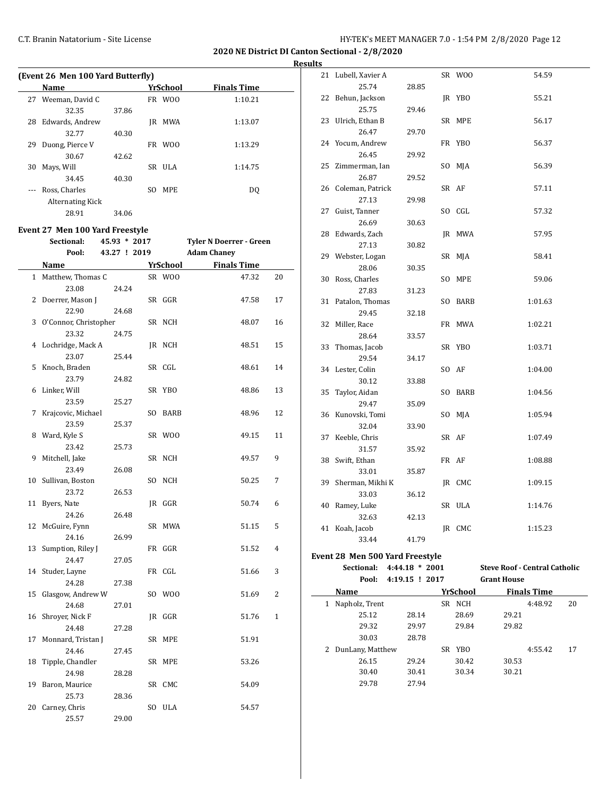**2020 NE District DI Canton Sectional - 2/8/2020**

**Results**

|    | (Event 26 Men 100 Yard Butterfly)<br><b>YrSchool</b> |                              |  |                 |                                                      |              |  |  |  |  |  |  |  |
|----|------------------------------------------------------|------------------------------|--|-----------------|------------------------------------------------------|--------------|--|--|--|--|--|--|--|
|    | <b>Name</b>                                          |                              |  |                 | <b>Finals Time</b>                                   |              |  |  |  |  |  |  |  |
|    | 27 Weeman, David C                                   |                              |  | FR WOO          | 1:10.21                                              |              |  |  |  |  |  |  |  |
|    | 32.35                                                | 37.86                        |  |                 |                                                      |              |  |  |  |  |  |  |  |
|    | 28 Edwards, Andrew                                   |                              |  | JR MWA          | 1:13.07                                              |              |  |  |  |  |  |  |  |
|    | 32.77                                                | 40.30                        |  |                 |                                                      |              |  |  |  |  |  |  |  |
| 29 | Duong, Pierce V<br>30.67                             | 42.62                        |  | FR WOO          | 1:13.29                                              |              |  |  |  |  |  |  |  |
| 30 | Mays, Will                                           |                              |  | SR ULA          | 1:14.75                                              |              |  |  |  |  |  |  |  |
|    | 34.45                                                | 40.30                        |  |                 |                                                      |              |  |  |  |  |  |  |  |
|    | Ross, Charles                                        |                              |  | SO MPE          | DQ                                                   |              |  |  |  |  |  |  |  |
|    | <b>Alternating Kick</b>                              |                              |  |                 |                                                      |              |  |  |  |  |  |  |  |
|    | 28.91                                                | 34.06                        |  |                 |                                                      |              |  |  |  |  |  |  |  |
|    |                                                      |                              |  |                 |                                                      |              |  |  |  |  |  |  |  |
|    | Event 27 Men 100 Yard Freestyle                      |                              |  |                 |                                                      |              |  |  |  |  |  |  |  |
|    | Sectional:<br>Pool:                                  | 45.93 * 2017<br>43.27 ! 2019 |  |                 | <b>Tyler N Doerrer - Green</b><br><b>Adam Chaney</b> |              |  |  |  |  |  |  |  |
|    |                                                      |                              |  |                 |                                                      |              |  |  |  |  |  |  |  |
|    | Name                                                 |                              |  | <b>YrSchool</b> | <b>Finals Time</b>                                   |              |  |  |  |  |  |  |  |
|    | 1 Matthew, Thomas C<br>23.08                         | 24.24                        |  | SR WOO          | 47.32                                                | 20           |  |  |  |  |  |  |  |
| 2  | Doerrer, Mason J                                     |                              |  | SR GGR          | 47.58                                                | 17           |  |  |  |  |  |  |  |
|    | 22.90                                                | 24.68                        |  |                 |                                                      |              |  |  |  |  |  |  |  |
| 3  | O'Connor, Christopher                                |                              |  | SR NCH          | 48.07                                                | 16           |  |  |  |  |  |  |  |
|    | 23.32                                                | 24.75                        |  |                 |                                                      |              |  |  |  |  |  |  |  |
|    | 4 Lochridge, Mack A                                  |                              |  | JR NCH          | 48.51                                                | 15           |  |  |  |  |  |  |  |
|    | 23.07                                                | 25.44                        |  |                 |                                                      |              |  |  |  |  |  |  |  |
| 5  | Knoch, Braden                                        |                              |  | SR CGL          | 48.61                                                | 14           |  |  |  |  |  |  |  |
|    | 23.79                                                | 24.82                        |  |                 |                                                      |              |  |  |  |  |  |  |  |
| 6  | Linker, Will                                         |                              |  | SR YBO          | 48.86                                                | 13           |  |  |  |  |  |  |  |
|    | 23.59                                                | 25.27                        |  |                 |                                                      |              |  |  |  |  |  |  |  |
| 7  | Krajcovic, Michael                                   |                              |  | SO BARB         | 48.96                                                | 12           |  |  |  |  |  |  |  |
|    | 23.59                                                | 25.37                        |  |                 |                                                      |              |  |  |  |  |  |  |  |
| 8  | Ward, Kyle S                                         |                              |  | SR WOO          | 49.15                                                | 11           |  |  |  |  |  |  |  |
|    | 23.42                                                | 25.73                        |  |                 |                                                      |              |  |  |  |  |  |  |  |
| 9  | Mitchell, Jake                                       |                              |  | SR NCH          | 49.57                                                | 9            |  |  |  |  |  |  |  |
| 10 | 23.49<br>Sullivan, Boston                            | 26.08                        |  | SO NCH          | 50.25                                                | 7            |  |  |  |  |  |  |  |
|    | 23.72                                                | 26.53                        |  |                 |                                                      |              |  |  |  |  |  |  |  |
| 11 | Byers, Nate                                          |                              |  | JR GGR          | 50.74                                                | 6            |  |  |  |  |  |  |  |
|    | 24.26                                                | 26.48                        |  |                 |                                                      |              |  |  |  |  |  |  |  |
| 12 | McGuire, Fynn                                        |                              |  | SR MWA          | 51.15                                                | 5            |  |  |  |  |  |  |  |
|    | 24.16                                                | 26.99                        |  |                 |                                                      |              |  |  |  |  |  |  |  |
| 13 | Sumption, Riley J                                    |                              |  | FR GGR          | 51.52                                                | 4            |  |  |  |  |  |  |  |
|    | 24.47                                                | 27.05                        |  |                 |                                                      |              |  |  |  |  |  |  |  |
| 14 | Studer, Layne                                        |                              |  | FR CGL          | 51.66                                                | 3            |  |  |  |  |  |  |  |
|    | 24.28                                                | 27.38                        |  |                 |                                                      |              |  |  |  |  |  |  |  |
| 15 | Glasgow, Andrew W                                    |                              |  | SO WOO          | 51.69                                                | 2            |  |  |  |  |  |  |  |
|    | 24.68                                                | 27.01                        |  |                 |                                                      |              |  |  |  |  |  |  |  |
| 16 | Shroyer, Nick F                                      |                              |  | JR GGR          | 51.76                                                | $\mathbf{1}$ |  |  |  |  |  |  |  |
| 17 | 24.48                                                | 27.28                        |  | SR MPE          |                                                      |              |  |  |  |  |  |  |  |
|    | Monnard, Tristan J<br>24.46                          | 27.45                        |  |                 | 51.91                                                |              |  |  |  |  |  |  |  |
| 18 | Tipple, Chandler                                     |                              |  | SR MPE          | 53.26                                                |              |  |  |  |  |  |  |  |
|    | 24.98                                                | 28.28                        |  |                 |                                                      |              |  |  |  |  |  |  |  |
| 19 | Baron, Maurice                                       |                              |  | SR CMC          | 54.09                                                |              |  |  |  |  |  |  |  |
|    | 25.73                                                | 28.36                        |  |                 |                                                      |              |  |  |  |  |  |  |  |
| 20 | Carney, Chris                                        |                              |  | SO ULA          | 54.57                                                |              |  |  |  |  |  |  |  |
|    | 25.57                                                | 29.00                        |  |                 |                                                      |              |  |  |  |  |  |  |  |

| urw |                                 |                |          |                                      |  |
|-----|---------------------------------|----------------|----------|--------------------------------------|--|
|     | 21 Lubell, Xavier A             |                | SR WOO   | 54.59                                |  |
|     | 25.74                           | 28.85          |          |                                      |  |
|     | 22 Behun, Jackson               |                | JR YBO   | 55.21                                |  |
|     | 25.75                           | 29.46          |          |                                      |  |
|     | 23 Ulrich, Ethan B              |                | SR MPE   | 56.17                                |  |
|     | 26.47                           | 29.70          |          |                                      |  |
|     | 24 Yocum, Andrew                |                | FR YBO   | 56.37                                |  |
|     | 26.45                           | 29.92          |          |                                      |  |
|     | 25 Zimmerman, Ian               |                | SO MJA   | 56.39                                |  |
|     | 26.87                           | 29.52          |          |                                      |  |
|     | 26 Coleman, Patrick             |                | SR AF    | 57.11                                |  |
|     | 27.13                           | 29.98          |          |                                      |  |
|     | 27 Guist, Tanner                |                | SO CGL   | 57.32                                |  |
|     | 26.69                           | 30.63          |          |                                      |  |
|     | 28 Edwards, Zach                |                | JR MWA   | 57.95                                |  |
|     | 27.13                           | 30.82          |          |                                      |  |
|     | 29 Webster, Logan               |                | SR MJA   | 58.41                                |  |
|     | 28.06                           | 30.35          |          |                                      |  |
|     | 30 Ross, Charles                |                | SO MPE   | 59.06                                |  |
|     | 27.83                           | 31.23          |          |                                      |  |
|     | 31 Patalon, Thomas              |                | SO BARB  | 1:01.63                              |  |
|     | 29.45                           | 32.18          |          |                                      |  |
|     | 32 Miller, Race                 |                | FR MWA   | 1:02.21                              |  |
|     | 28.64                           | 33.57          |          |                                      |  |
|     | 33 Thomas, Jacob                |                | SR YBO   | 1:03.71                              |  |
|     | 29.54                           | 34.17          |          |                                      |  |
|     | 34 Lester, Colin                |                | SO AF    | 1:04.00                              |  |
|     | 30.12                           | 33.88          |          |                                      |  |
|     | 35 Taylor, Aidan                |                | SO BARB  | 1:04.56                              |  |
|     | 29.47                           | 35.09          |          |                                      |  |
|     | 36 Kunovski, Tomi               |                | SO MJA   | 1:05.94                              |  |
|     | 32.04                           | 33.90          |          |                                      |  |
|     | 37 Keeble, Chris                |                | SR AF    | 1:07.49                              |  |
|     | 31.57                           | 35.92          |          |                                      |  |
|     | 38 Swift, Ethan                 |                | FR AF    | 1:08.88                              |  |
|     | 33.01                           | 35.87          |          |                                      |  |
|     | 39 Sherman, Mikhi K             |                | JR CMC   | 1:09.15                              |  |
|     | 33.03                           | 36.12          |          |                                      |  |
|     | 40 Ramey, Luke                  |                | SR ULA   | 1:14.76                              |  |
|     | 32.63                           | 42.13          |          |                                      |  |
|     | 41 Koah, Jacob                  |                | JR CMC   | 1:15.23                              |  |
|     | 33.44                           | 41.79          |          |                                      |  |
|     | Event 28 Men 500 Yard Freestyle |                |          |                                      |  |
|     | Sectional:                      | 4:44.18 * 2001 |          | <b>Steve Roof - Central Catholic</b> |  |
|     | Pool:                           | 4:19.15 ! 2017 |          | <b>Grant House</b>                   |  |
|     | Name                            |                | YrSchool | <b>Finals Time</b>                   |  |
| 1   | Napholz, Trent                  |                | SR NCH   | 4:48.92<br>20                        |  |
|     | 25.12                           | 28.14          | 28.69    | 29.21                                |  |
|     | 29.32                           | 29.97          | 29.84    | 29.82                                |  |
|     | 30.03                           | 28.78          |          |                                      |  |
| 2   | DunLany, Matthew                |                | SR YBO   | 4:55.42<br>17                        |  |
|     | 26.15                           | 29.24          | 30.42    | 30.53                                |  |
|     | 30.40                           | 30.41          | 30.34    | 30.21                                |  |

29.78 27.94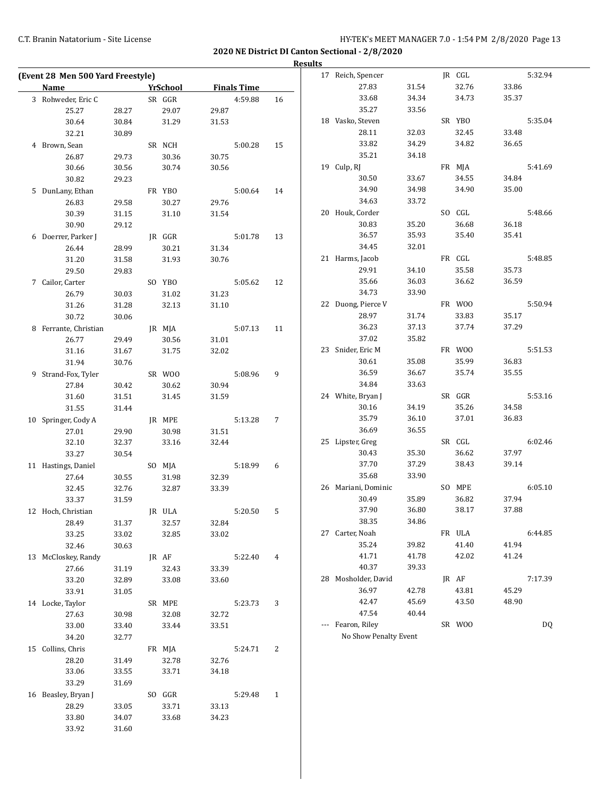|                                   |       |          |                    |              | <b>Results</b> |                       |       |        |       |         |
|-----------------------------------|-------|----------|--------------------|--------------|----------------|-----------------------|-------|--------|-------|---------|
| (Event 28 Men 500 Yard Freestyle) |       |          |                    |              |                | 17 Reich, Spencer     |       | JR CGL |       | 5:32.94 |
| <b>Name</b>                       |       | YrSchool | <b>Finals Time</b> |              |                | 27.83                 | 31.54 | 32.76  | 33.86 |         |
| 3 Rohweder, Eric C                |       | SR GGR   | 4:59.88            | 16           |                | 33.68                 | 34.34 | 34.73  | 35.37 |         |
| 25.27                             | 28.27 | 29.07    | 29.87              |              |                | 35.27                 | 33.56 |        |       |         |
| 30.64                             | 30.84 | 31.29    | 31.53              |              |                | 18 Vasko, Steven      |       | SR YBO |       | 5:35.04 |
| 32.21                             | 30.89 |          |                    |              |                | 28.11                 | 32.03 | 32.45  | 33.48 |         |
| 4 Brown, Sean                     |       | SR NCH   | 5:00.28            | 15           |                | 33.82                 | 34.29 | 34.82  | 36.65 |         |
| 26.87                             | 29.73 | 30.36    | 30.75              |              |                | 35.21                 | 34.18 |        |       |         |
| 30.66                             | 30.56 | 30.74    | 30.56              |              |                | 19 Culp, RJ           |       | FR MJA |       | 5:41.69 |
| 30.82                             | 29.23 |          |                    |              |                | 30.50                 | 33.67 | 34.55  | 34.84 |         |
| 5 DunLany, Ethan                  |       | FR YBO   | 5:00.64            | 14           |                | 34.90                 | 34.98 | 34.90  | 35.00 |         |
| 26.83                             | 29.58 | 30.27    | 29.76              |              |                | 34.63                 | 33.72 |        |       |         |
| 30.39                             | 31.15 | 31.10    | 31.54              |              |                | 20 Houk, Corder       |       | SO CGL |       | 5:48.66 |
| 30.90                             | 29.12 |          |                    |              |                | 30.83                 | 35.20 | 36.68  | 36.18 |         |
| 6 Doerrer, Parker J               |       | JR GGR   | 5:01.78            | 13           |                | 36.57                 | 35.93 | 35.40  | 35.41 |         |
| 26.44                             | 28.99 | 30.21    | 31.34              |              |                | 34.45                 | 32.01 |        |       |         |
| 31.20                             | 31.58 | 31.93    | 30.76              |              |                | 21 Harms, Jacob       |       | FR CGL |       | 5:48.85 |
| 29.50                             | 29.83 |          |                    |              |                | 29.91                 | 34.10 | 35.58  | 35.73 |         |
| 7 Cailor, Carter                  |       | SO YBO   | 5:05.62            | 12           |                | 35.66                 | 36.03 | 36.62  | 36.59 |         |
| 26.79                             | 30.03 | 31.02    | 31.23              |              |                | 34.73                 | 33.90 |        |       |         |
| 31.26                             | 31.28 | 32.13    | 31.10              |              |                | 22 Duong, Pierce V    |       | FR WOO |       | 5:50.94 |
| 30.72                             | 30.06 |          |                    |              |                | 28.97                 | 31.74 | 33.83  | 35.17 |         |
| 8 Ferrante, Christian             |       | JR MJA   | 5:07.13            | 11           |                | 36.23                 | 37.13 | 37.74  | 37.29 |         |
| 26.77                             | 29.49 | 30.56    | 31.01              |              |                | 37.02                 | 35.82 |        |       |         |
| 31.16                             | 31.67 | 31.75    | 32.02              |              |                | 23 Snider, Eric M     |       | FR WOO |       | 5:51.53 |
| 31.94                             | 30.76 |          |                    |              |                | 30.61                 | 35.08 | 35.99  | 36.83 |         |
| 9 Strand-Fox, Tyler               |       | SR WOO   | 5:08.96            | 9            |                | 36.59                 | 36.67 | 35.74  | 35.55 |         |
| 27.84                             | 30.42 | 30.62    | 30.94              |              |                | 34.84                 | 33.63 |        |       |         |
| 31.60                             | 31.51 | 31.45    | 31.59              |              |                | 24 White, Bryan J     |       | SR GGR |       | 5:53.16 |
| 31.55                             | 31.44 |          |                    |              |                | 30.16                 | 34.19 | 35.26  | 34.58 |         |
|                                   |       |          |                    |              |                | 35.79                 | 36.10 | 37.01  | 36.83 |         |
| 10 Springer, Cody A               |       | JR MPE   | 5:13.28            | 7            |                | 36.69                 | 36.55 |        |       |         |
| 27.01                             | 29.90 | 30.98    | 31.51              |              |                | 25 Lipster, Greg      |       | SR CGL |       | 6:02.46 |
| 32.10                             | 32.37 | 33.16    | 32.44              |              |                | 30.43                 | 35.30 | 36.62  | 37.97 |         |
| 33.27                             | 30.54 |          |                    |              |                | 37.70                 | 37.29 | 38.43  | 39.14 |         |
| 11 Hastings, Daniel               |       | SO MJA   | 5:18.99            | 6            |                | 35.68                 | 33.90 |        |       |         |
| 27.64                             | 30.55 | 31.98    | 32.39              |              |                | 26 Mariani, Dominic   |       | SO MPE |       | 6:05.10 |
| 32.45                             | 32.76 | 32.87    | 33.39              |              |                | 30.49                 | 35.89 | 36.82  | 37.94 |         |
| 33.37                             | 31.59 |          |                    |              |                |                       |       |        |       |         |
| 12 Hoch, Christian                |       | JR ULA   | 5:20.50            | 5            |                | 37.90                 | 36.80 | 38.17  | 37.88 |         |
| 28.49                             | 31.37 | 32.57    | 32.84              |              |                | 38.35                 | 34.86 |        |       |         |
| 33.25                             | 33.02 | 32.85    | 33.02              |              |                | 27 Carter, Noah       |       | FR ULA |       | 6:44.85 |
| 32.46                             | 30.63 |          |                    |              |                | 35.24                 | 39.82 | 41.40  | 41.94 |         |
| 13 McCloskey, Randy               |       | JR AF    | 5:22.40            | 4            |                | 41.71                 | 41.78 | 42.02  | 41.24 |         |
| 27.66                             | 31.19 | 32.43    | 33.39              |              |                | 40.37                 | 39.33 |        |       |         |
| 33.20                             | 32.89 | 33.08    | 33.60              |              |                | 28 Mosholder, David   |       | JR AF  |       | 7:17.39 |
| 33.91                             | 31.05 |          |                    |              |                | 36.97                 | 42.78 | 43.81  | 45.29 |         |
| 14 Locke, Taylor                  |       | SR MPE   | 5:23.73            | 3            |                | 42.47                 | 45.69 | 43.50  | 48.90 |         |
| 27.63                             | 30.98 | 32.08    | 32.72              |              |                | 47.54                 | 40.44 |        |       |         |
| 33.00                             | 33.40 | 33.44    | 33.51              |              |                | --- Fearon, Riley     |       | SR WOO |       | DQ      |
| 34.20                             | 32.77 |          |                    |              |                | No Show Penalty Event |       |        |       |         |
| 15 Collins, Chris                 |       | FR MJA   | 5:24.71            | 2            |                |                       |       |        |       |         |
| 28.20                             | 31.49 | 32.78    | 32.76              |              |                |                       |       |        |       |         |
| 33.06                             | 33.55 | 33.71    | 34.18              |              |                |                       |       |        |       |         |
| 33.29                             | 31.69 |          |                    |              |                |                       |       |        |       |         |
| 16 Beasley, Bryan J               |       | SO GGR   | 5:29.48            | $\mathbf{1}$ |                |                       |       |        |       |         |
| 28.29                             | 33.05 | 33.71    | 33.13              |              |                |                       |       |        |       |         |
| 33.80                             | 34.07 | 33.68    | 34.23              |              |                |                       |       |        |       |         |
| 33.92                             | 31.60 |          |                    |              |                |                       |       |        |       |         |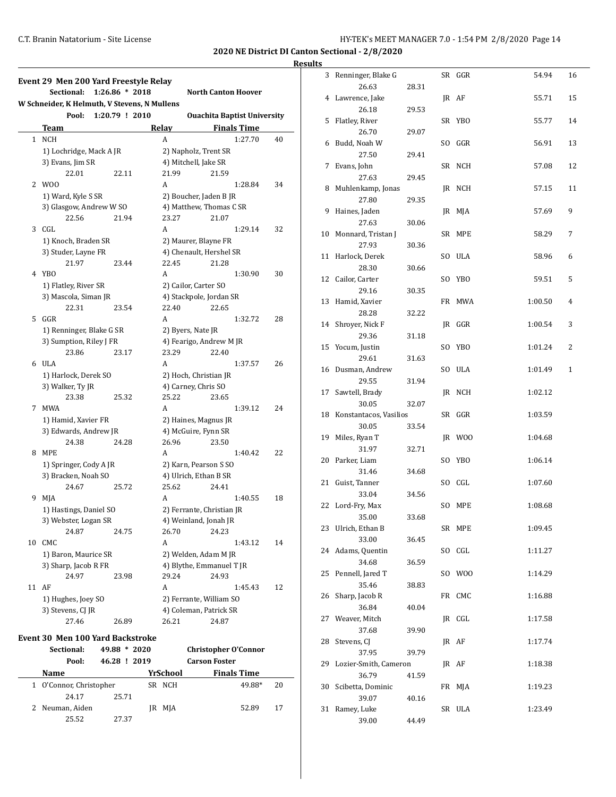| Event 29 Men 200 Yard Freestyle Relay        |                  |                           |       |                                    |    |    | 3 Renninger, Blak          |
|----------------------------------------------|------------------|---------------------------|-------|------------------------------------|----|----|----------------------------|
| Sectional:                                   | $1:26.86 * 2018$ |                           |       | <b>North Canton Hoover</b>         |    |    | 26.63                      |
| W Schneider, K Helmuth, V Stevens, N Mullens |                  |                           |       |                                    |    |    | 4 Lawrence, Jake           |
| Pool:                                        | 1:20.79 ! 2010   |                           |       | <b>Ouachita Baptist University</b> |    |    | 26.18                      |
| Team                                         |                  | Relay                     |       | <b>Finals Time</b>                 |    |    | 5 Flatley, River           |
| 1 NCH                                        |                  | A                         |       | 1:27.70                            | 40 |    | 26.70                      |
| 1) Lochridge, Mack A JR                      |                  | 2) Napholz, Trent SR      |       |                                    |    |    | 6 Budd, Noah W             |
| 3) Evans, Jim SR                             |                  | 4) Mitchell, Jake SR      |       |                                    |    |    | 27.50                      |
| 22.01                                        | 22.11            | 21.99                     | 21.59 |                                    |    |    | 7 Evans, John              |
| 2 W <sub>00</sub>                            |                  | A                         |       | 1:28.84                            | 34 |    | 27.63                      |
| 1) Ward, Kyle S SR                           |                  | 2) Boucher, Jaden B JR    |       |                                    |    |    | 8 Muhlenkamp, Jo           |
| 3) Glasgow, Andrew W SO                      |                  | 4) Matthew, Thomas C SR   |       |                                    |    |    | 27.80                      |
| 22.56                                        | 21.94            | 23.27                     | 21.07 |                                    |    |    | 9 Haines, Jaden            |
| 3 CGL                                        |                  | A                         |       | 1:29.14                            | 32 |    | 27.63                      |
| 1) Knoch, Braden SR                          |                  | 2) Maurer, Blayne FR      |       |                                    |    |    | 10 Monnard, Trista         |
| 3) Studer, Layne FR                          |                  | 4) Chenault, Hershel SR   |       |                                    |    |    | 27.93                      |
| 21.97                                        | 23.44            | 22.45                     | 21.28 |                                    |    |    | 11 Harlock, Derek          |
| 4 YBO                                        |                  | A                         |       | 1:30.90                            | 30 |    | 28.30                      |
| 1) Flatley, River SR                         |                  | 2) Cailor, Carter SO      |       |                                    |    |    | 12 Cailor, Carter          |
| 3) Mascola, Siman JR                         |                  | 4) Stackpole, Jordan SR   |       |                                    |    |    | 29.16                      |
| 22.31                                        | 23.54            | 22.40                     | 22.65 |                                    |    |    | 13 Hamid, Xavier           |
| 5 GGR                                        |                  | A                         |       | 1:32.72                            | 28 |    | 28.28                      |
| 1) Renninger, Blake G SR                     |                  | 2) Byers, Nate JR         |       |                                    |    |    | 14 Shroyer, Nick F         |
| 3) Sumption, Riley J FR                      |                  | 4) Fearigo, Andrew M JR   |       |                                    |    |    | 29.36                      |
| 23.86                                        | 23.17            | 23.29                     | 22.40 |                                    |    |    | 15 Yocum, Justin           |
| 6 ULA                                        |                  | A                         |       | 1:37.57                            | 26 |    | 29.61                      |
| 1) Harlock, Derek SO                         |                  | 2) Hoch, Christian JR     |       |                                    |    |    | 16 Dusman, Andre           |
| 3) Walker, Ty JR                             |                  | 4) Carney, Chris SO       |       |                                    |    |    | 29.55                      |
| 23.38                                        | 25.32            | 25.22                     | 23.65 |                                    |    | 17 | Sawtell, Brady             |
| 7 MWA                                        |                  | A                         |       | 1:39.12                            | 24 |    | 30.05                      |
| 1) Hamid, Xavier FR                          |                  | 2) Haines, Magnus JR      |       |                                    |    |    | 18 Konstantacos, V         |
| 3) Edwards, Andrew JR                        |                  | 4) McGuire, Fynn SR       |       |                                    |    |    | 30.05                      |
| 24.38                                        | 24.28            | 26.96                     | 23.50 |                                    |    |    | 19 Miles, Ryan T           |
| 8 MPE                                        |                  | A                         |       | 1:40.42                            | 22 |    | 31.97                      |
| 1) Springer, Cody A JR                       |                  | 2) Karn, Pearson S SO     |       |                                    |    |    | 20 Parker, Liam            |
| 3) Bracken, Noah SO                          |                  | 4) Ulrich, Ethan B SR     |       |                                    |    |    | 31.46                      |
| 24.67                                        | 25.72            | 25.62                     | 24.41 |                                    |    |    | 21 Guist, Tanner           |
| 9 MJA                                        |                  | A                         |       | 1:40.55                            | 18 |    | 33.04                      |
| 1) Hastings, Daniel SO                       |                  | 2) Ferrante, Christian JR |       |                                    |    |    | 22 Lord-Fry, Max           |
| 3) Webster, Logan SR                         |                  | 4) Weinland, Jonah JR     |       |                                    |    |    | 35.00                      |
| 24.87                                        | 24.75            | 26.70                     | 24.23 |                                    |    |    | 23 Ulrich, Ethan B         |
| 10 CMC                                       |                  | A                         |       | 1:43.12                            | 14 |    | 33.00                      |
| 1) Baron, Maurice SR                         |                  | 2) Welden, Adam M JR      |       |                                    |    |    | 24 Adams, Quentin<br>34.68 |
| 3) Sharp, Jacob R FR                         |                  | 4) Blythe, Emmanuel T JR  |       |                                    |    |    |                            |
| 24.97                                        | 23.98            | 29.24                     | 24.93 |                                    |    |    | 25 Pennell, Jared T        |
| 11 AF                                        |                  | A                         |       | 1:45.43                            | 12 |    | 35.46<br>26 Sharp, Jacob R |
| 1) Hughes, Joey SO                           |                  | 2) Ferrante, William SO   |       |                                    |    |    | 36.84                      |
| 3) Stevens, CJ JR                            |                  | 4) Coleman, Patrick SR    |       |                                    |    |    | 27 Weaver, Mitch           |
| 27.46                                        | 26.89            | 26.21                     | 24.87 |                                    |    |    | 37.68                      |
| Event 30 Men 100 Yard Backstroke             |                  |                           |       |                                    |    |    | 28 Stevens CI              |

| prencyv pien 100 Turu Duchscrone |                |    |          |                             |    |  |
|----------------------------------|----------------|----|----------|-----------------------------|----|--|
| Sectional:                       | $49.88 * 2020$ |    |          | <b>Christopher O'Connor</b> |    |  |
| Pool:                            | 46.28 ! 2019   |    |          | <b>Carson Foster</b>        |    |  |
| Name                             |                |    | YrSchool | <b>Finals Time</b>          |    |  |
| O'Connor, Christopher            |                |    | SR NCH   | 49.88*                      | 20 |  |
| 24.17                            | 25.71          |    |          |                             |    |  |
| 2 Neuman, Aiden                  |                | IR | MJA      | 52.89                       | 17 |  |
| 25.52                            | 27.37          |    |          |                             |    |  |
|                                  |                |    |          |                             |    |  |

| 3  | Renninger, Blake G     |       | SR             | GGR             | 54.94   | 16 |
|----|------------------------|-------|----------------|-----------------|---------|----|
|    | 26.63                  | 28.31 |                |                 |         |    |
|    | 4 Lawrence, Jake       |       |                | JR AF           | 55.71   | 15 |
|    | 26.18                  | 29.53 |                |                 |         |    |
| 5  | Flatley, River         |       | SR             | YBO             | 55.77   | 14 |
|    | 26.70                  | 29.07 |                |                 |         |    |
| 6  | Budd, Noah W           |       | SO.            | GGR             | 56.91   | 13 |
|    | 27.50                  | 29.41 |                |                 |         |    |
| 7  | Evans, John            |       | SR             | <b>NCH</b>      | 57.08   | 12 |
|    | 27.63                  | 29.45 |                |                 |         |    |
| 8  | Muhlenkamp, Jonas      |       | JR             | <b>NCH</b>      | 57.15   | 11 |
|    | 27.80                  | 29.35 |                |                 |         |    |
| 9  | Haines, Jaden          |       | JR             | MJA             | 57.69   | 9  |
|    | 27.63                  | 30.06 |                |                 |         |    |
| 10 | Monnard, Tristan J     |       | SR             | MPE             | 58.29   | 7  |
|    | 27.93                  | 30.36 |                |                 |         |    |
| 11 | Harlock, Derek         |       | S <sub>0</sub> | <b>ULA</b>      | 58.96   | 6  |
|    | 28.30                  | 30.66 |                |                 |         |    |
| 12 | Cailor, Carter         |       | SO.            | YB <sub>0</sub> | 59.51   | 5  |
|    | 29.16                  | 30.35 |                |                 |         |    |
| 13 | Hamid, Xavier          |       | FR             | MWA             | 1:00.50 | 4  |
|    | 28.28                  | 32.22 |                |                 |         |    |
| 14 | Shroyer, Nick F        |       | JR             | GGR             | 1:00.54 | 3  |
|    | 29.36                  | 31.18 |                |                 |         |    |
| 15 | Yocum, Justin          |       | SO.            | YBO             | 1:01.24 | 2  |
|    | 29.61                  |       |                |                 |         |    |
|    |                        | 31.63 |                |                 |         |    |
| 16 | Dusman, Andrew         |       | SO.            | ULA             | 1:01.49 | 1  |
|    | 29.55                  | 31.94 |                |                 |         |    |
| 17 | Sawtell, Brady         |       | JR             | <b>NCH</b>      | 1:02.12 |    |
|    | 30.05                  | 32.07 |                |                 |         |    |
| 18 | Konstantacos, Vasilios |       | SR             | GGR             | 1:03.59 |    |
|    | 30.05                  | 33.54 |                |                 |         |    |
| 19 | Miles, Ryan T          |       | JR             | W00             | 1:04.68 |    |
|    | 31.97                  | 32.71 |                |                 |         |    |
| 20 | Parker, Liam           |       | SO.            | YBO             | 1:06.14 |    |
|    | 31.46                  | 34.68 |                |                 |         |    |
| 21 | Guist, Tanner          |       | SO.            | CGL             | 1:07.60 |    |
|    | 33.04                  | 34.56 |                |                 |         |    |
| 22 | Lord-Fry, Max          |       | SO.            | MPE             | 1:08.68 |    |
|    | 35.00                  | 33.68 |                |                 |         |    |
| 23 | Ulrich, Ethan B        |       | SR             | MPE             | 1:09.45 |    |
|    | 33.00                  | 36.45 |                |                 |         |    |
| 24 | Adams, Quentin         |       | SO.            | CGL             | 1:11.27 |    |
|    | 34.68                  | 36.59 |                |                 |         |    |
| 25 | Pennell, Jared T       |       | SO.            | W00             | 1:14.29 |    |
|    | 35.46                  | 38.83 |                |                 |         |    |
| 26 | Sharp, Jacob R         |       | FR             | CMC             | 1:16.88 |    |
|    | 36.84                  | 40.04 |                |                 |         |    |
| 27 | Weaver, Mitch          |       |                | IR CGL          | 1:17.58 |    |
|    | 37.68                  | 39.90 |                |                 |         |    |
| 28 | Stevens, CJ            |       |                | JR AF           | 1:17.74 |    |
|    | 37.95                  | 39.79 |                |                 |         |    |
| 29 | Lozier-Smith, Cameron  |       | JR             | AF              | 1:18.38 |    |
|    | 36.79                  | 41.59 |                |                 |         |    |
| 30 | Scibetta, Dominic      |       | FR             | MJA             | 1:19.23 |    |
|    | 39.07                  | 40.16 |                |                 |         |    |
| 31 | Ramey, Luke            |       | SR             | ULA             | 1:23.49 |    |
|    | 39.00                  | 44.49 |                |                 |         |    |
|    |                        |       |                |                 |         |    |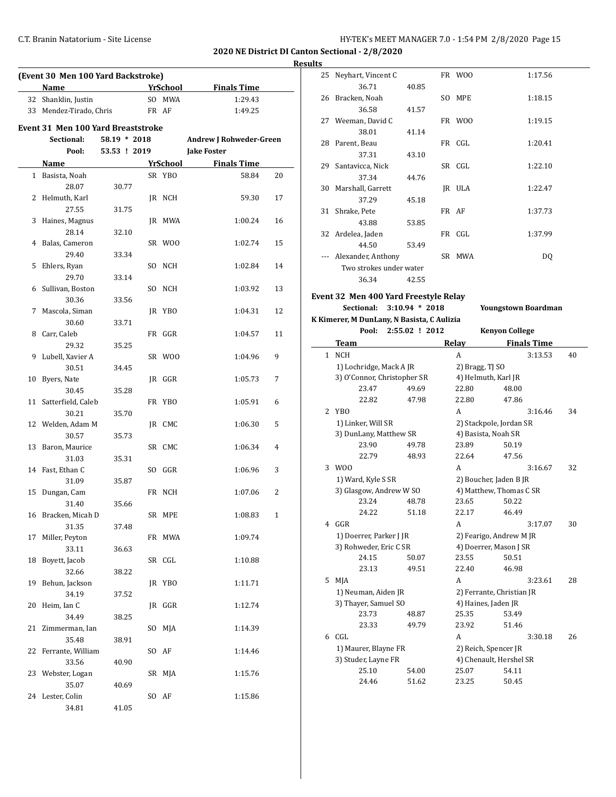**Results**

| (Event 30 Men 100 Yard Backstroke) |                                           |                |     |                 |                         |                |  |  |  |  |
|------------------------------------|-------------------------------------------|----------------|-----|-----------------|-------------------------|----------------|--|--|--|--|
|                                    |                                           |                |     |                 |                         |                |  |  |  |  |
|                                    | Name                                      |                |     | <b>YrSchool</b> | <b>Finals Time</b>      |                |  |  |  |  |
|                                    | 32 Shanklin, Justin                       |                |     | SO MWA          | 1:29.43                 |                |  |  |  |  |
|                                    | 33 Mendez-Tirado, Chris                   |                |     | FR AF           | 1:49.25                 |                |  |  |  |  |
|                                    | <b>Event 31 Men 100 Yard Breaststroke</b> |                |     |                 |                         |                |  |  |  |  |
|                                    | Sectional:                                | $58.19 * 2018$ |     |                 | Andrew J Rohweder-Green |                |  |  |  |  |
|                                    | Pool:                                     | 53.53 ! 2019   |     |                 | <b>Jake Foster</b>      |                |  |  |  |  |
|                                    | Name                                      |                |     | <b>YrSchool</b> | <b>Finals Time</b>      |                |  |  |  |  |
|                                    | 1 Basista, Noah                           |                |     | SR YBO          | 58.84                   | 20             |  |  |  |  |
|                                    | 28.07                                     | 30.77          |     |                 |                         |                |  |  |  |  |
|                                    | 2 Helmuth, Karl                           |                |     | JR NCH          | 59.30                   | 17             |  |  |  |  |
|                                    | 27.55                                     | 31.75          |     |                 |                         |                |  |  |  |  |
| 3                                  | Haines, Magnus                            |                |     | JR MWA          | 1:00.24                 | 16             |  |  |  |  |
|                                    | 28.14                                     | 32.10          |     |                 |                         |                |  |  |  |  |
|                                    | 4 Balas, Cameron                          |                |     | SR WOO          | 1:02.74                 | 15             |  |  |  |  |
|                                    | 29.40                                     | 33.34          |     |                 |                         |                |  |  |  |  |
| 5                                  | Ehlers, Ryan                              |                |     | SO NCH          | 1:02.84                 | 14             |  |  |  |  |
|                                    | 29.70                                     | 33.14          |     |                 |                         |                |  |  |  |  |
| 6                                  | Sullivan, Boston                          |                |     | SO NCH          | 1:03.92                 | 13             |  |  |  |  |
|                                    | 30.36                                     |                |     |                 |                         |                |  |  |  |  |
| 7                                  | Mascola, Siman                            | 33.56          |     | JR YBO          | 1:04.31                 | 12             |  |  |  |  |
|                                    |                                           |                |     |                 |                         |                |  |  |  |  |
|                                    | 30.60<br>Carr, Caleb                      | 33.71          |     |                 |                         |                |  |  |  |  |
| 8                                  |                                           |                |     | FR GGR          | 1:04.57                 | 11             |  |  |  |  |
|                                    | 29.32                                     | 35.25          |     |                 |                         |                |  |  |  |  |
| 9                                  | Lubell, Xavier A                          |                |     | SR WOO          | 1:04.96                 | 9              |  |  |  |  |
|                                    | 30.51                                     | 34.45          |     |                 |                         |                |  |  |  |  |
| 10                                 | Byers, Nate                               |                |     | JR GGR          | 1:05.73                 | 7              |  |  |  |  |
|                                    | 30.45                                     | 35.28          |     |                 |                         |                |  |  |  |  |
|                                    | 11 Satterfield, Caleb                     |                |     | FR YBO          | 1:05.91                 | 6              |  |  |  |  |
|                                    | 30.21                                     | 35.70          |     |                 |                         |                |  |  |  |  |
|                                    | 12 Welden, Adam M                         |                |     | JR CMC          | 1:06.30                 | 5              |  |  |  |  |
|                                    | 30.57                                     | 35.73          |     |                 |                         |                |  |  |  |  |
| 13                                 | Baron, Maurice                            |                |     | SR CMC          | 1:06.34                 | $\overline{4}$ |  |  |  |  |
|                                    | 31.03                                     | 35.31          |     |                 |                         |                |  |  |  |  |
|                                    | 14 Fast, Ethan C                          |                |     | SO GGR          | 1:06.96                 | 3              |  |  |  |  |
|                                    | 31.09                                     | 35.87          |     |                 |                         |                |  |  |  |  |
|                                    | 15 Dungan, Cam                            |                |     | FR NCH          | 1:07.06                 | 2              |  |  |  |  |
|                                    | 31.40                                     | 35.66          |     |                 |                         |                |  |  |  |  |
|                                    | 16 Bracken, Micah D                       |                |     | SR MPE          | 1:08.83                 | 1              |  |  |  |  |
|                                    | 31.35                                     | 37.48          |     |                 |                         |                |  |  |  |  |
| 17                                 | Miller, Peyton                            |                |     | FR MWA          | 1:09.74                 |                |  |  |  |  |
|                                    | 33.11                                     | 36.63          |     |                 |                         |                |  |  |  |  |
| 18                                 | Boyett, Jacob                             |                |     | SR CGL          | 1:10.88                 |                |  |  |  |  |
|                                    | 32.66                                     | 38.22          |     |                 |                         |                |  |  |  |  |
| 19                                 | Behun, Jackson                            |                |     | JR YBO          | 1:11.71                 |                |  |  |  |  |
|                                    | 34.19                                     | 37.52          |     |                 |                         |                |  |  |  |  |
| 20                                 | Heim, Ian C                               |                |     | JR GGR          | 1:12.74                 |                |  |  |  |  |
|                                    | 34.49                                     | 38.25          |     |                 |                         |                |  |  |  |  |
| 21                                 | Zimmerman, Ian                            |                | SO. | MJA             | 1:14.39                 |                |  |  |  |  |
|                                    | 35.48                                     | 38.91          |     |                 |                         |                |  |  |  |  |
| 22                                 | Ferrante, William                         |                |     | SO AF           | 1:14.46                 |                |  |  |  |  |
|                                    | 33.56                                     | 40.90          |     |                 |                         |                |  |  |  |  |
|                                    | 23 Webster, Logan                         |                |     | SR MJA          | 1:15.76                 |                |  |  |  |  |
|                                    | 35.07                                     | 40.69          |     |                 |                         |                |  |  |  |  |
|                                    | 24 Lester, Colin                          |                |     | SO AF           | 1:15.86                 |                |  |  |  |  |
|                                    | 34.81                                     | 41.05          |     |                 |                         |                |  |  |  |  |

| 5  |                         |       |       |        |         |
|----|-------------------------|-------|-------|--------|---------|
| 25 | Neyhart, Vincent C      |       |       | FR WOO | 1:17.56 |
|    | 36.71                   | 40.85 |       |        |         |
| 26 | Bracken, Noah           |       |       | SO MPE | 1:18.15 |
|    | 36.58                   | 41.57 |       |        |         |
|    | 27 Weeman, David C      |       |       | FR WOO | 1:19.15 |
|    | 38.01                   | 41.14 |       |        |         |
| 28 | Parent, Beau            |       |       | FR CGL | 1:20.41 |
|    | 37.31                   | 43.10 |       |        |         |
| 29 | Santavicca, Nick        |       |       | SR CGL | 1:22.10 |
|    | 37.34                   | 44.76 |       |        |         |
| 30 | Marshall, Garrett       |       |       | IR ULA | 1:22.47 |
|    | 37.29                   | 45.18 |       |        |         |
| 31 | Shrake, Pete            |       | FR AF |        | 1:37.73 |
|    | 43.88                   | 53.85 |       |        |         |
| 32 | Ardelea, Jaden          |       |       | FR CGL | 1:37.99 |
|    | 44.50                   | 53.49 |       |        |         |
|    | Alexander, Anthony      |       |       | SR MWA | DQ      |
|    | Two strokes under water |       |       |        |         |
|    | 36.34                   | 42.55 |       |        |         |
|    |                         |       |       |        |         |

# **Event 32 Men 400 Yard Freestyle Relay**

**K Kimerer, M DunLany, N Basista, C Aulizia Pool: 2:55.02 ! 2012 Team Relayation** 

1 NCH

**Sectional: 3:10.94 \* 2018 Youngstown Boardman**

|   | пістен, іч вапівану, іч вазіза, с папівні |                |                 |                       |    |
|---|-------------------------------------------|----------------|-----------------|-----------------------|----|
|   | Pool:                                     | 2:55.02 ! 2012 |                 | <b>Kenyon College</b> |    |
|   | Team                                      |                | Relay           | <b>Finals Time</b>    |    |
| 1 | NCH                                       |                | А               | 3:13.53               | 40 |
|   | 1) Lochridge, Mack A JR                   |                | 2) Bragg, TJ SO |                       |    |
|   | 3) O'Connor, Christopher SR               |                |                 | 4) Helmuth, Karl JR   |    |
|   | 23.47                                     | 49.69          | 22.80           | 48.00                 |    |
|   | 22.82                                     | 47.98          | 22.80           | 47.86                 |    |
|   | YBO                                       |                | А               | 3:16.46               | 34 |
|   |                                           |                |                 |                       |    |

|   | 1) Linker, Will SR      |       | 2) Stackpole, Jordan SR   |       |         |    |
|---|-------------------------|-------|---------------------------|-------|---------|----|
|   | 3) DunLany, Matthew SR  |       | 4) Basista, Noah SR       |       |         |    |
|   | 23.90                   | 49.78 | 23.89                     | 50.19 |         |    |
|   | 22.79                   | 48.93 | 22.64                     | 47.56 |         |    |
| 3 | W <sub>00</sub>         |       | A                         |       | 3:16.67 | 32 |
|   | 1) Ward, Kyle S SR      |       | 2) Boucher, Jaden B JR    |       |         |    |
|   | 3) Glasgow, Andrew W SO |       | 4) Matthew, Thomas C SR   |       |         |    |
|   | 23.24                   | 48.78 | 23.65                     | 50.22 |         |    |
|   | 24.22                   | 51.18 | 22.17                     | 46.49 |         |    |
| 4 | GGR                     |       | A                         |       | 3:17.07 | 30 |
|   | 1) Doerrer, Parker J JR |       | 2) Fearigo, Andrew M JR   |       |         |    |
|   | 3) Rohweder, Eric C SR  |       | 4) Doerrer, Mason J SR    |       |         |    |
|   | 24.15                   | 50.07 | 23.55                     | 50.51 |         |    |
|   | 23.13                   | 49.51 | 22.40                     | 46.98 |         |    |
| 5 | MJA                     |       | A                         |       | 3:23.61 | 28 |
|   | 1) Neuman, Aiden JR     |       | 2) Ferrante, Christian JR |       |         |    |
|   | 3) Thayer, Samuel SO    |       | 4) Haines, Jaden JR       |       |         |    |
|   | 23.73                   | 48.87 | 25.35                     | 53.49 |         |    |
|   | 23.33                   | 49.79 | 23.92                     | 51.46 |         |    |
| 6 | CGL                     |       | A                         |       | 3:30.18 | 26 |
|   | 1) Maurer, Blayne FR    |       | 2) Reich, Spencer JR      |       |         |    |

| 3) Studer, Layne FR |       |       | 4) Chenault, Hershel SR |  |  |
|---------------------|-------|-------|-------------------------|--|--|
| 25.10               | 54.00 | 25.07 | 54.11                   |  |  |
| 24.46               | 51.62 | 23.25 | 50.45                   |  |  |
|                     |       |       |                         |  |  |